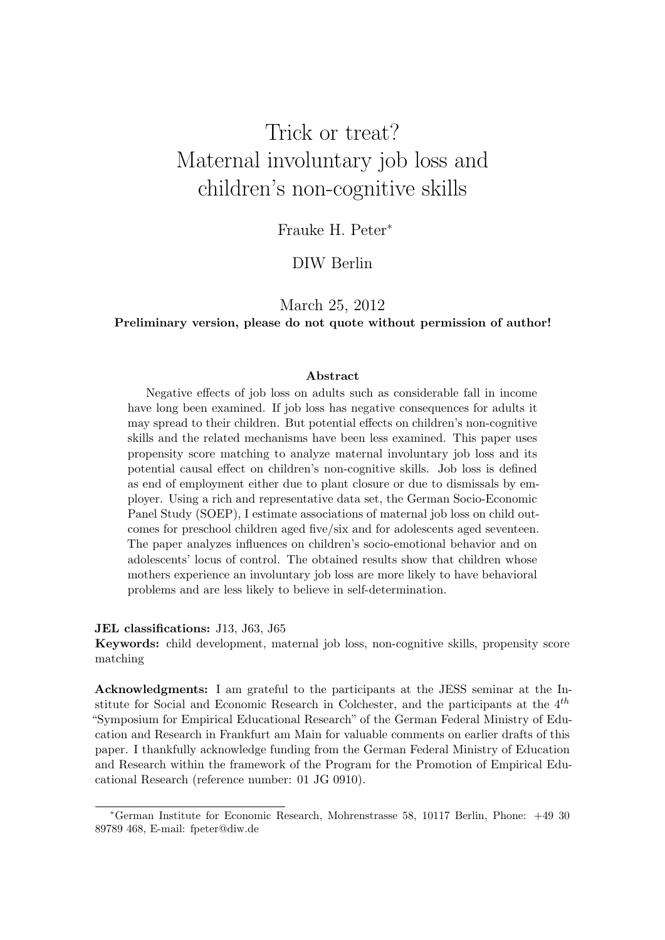## Trick or treat? Maternal involuntary job loss and children's non-cognitive skills

Frauke H. Peter<sup>∗</sup>

### DIW Berlin

### March 25, 2012

#### Preliminary version, please do not quote without permission of author!

#### Abstract

Negative effects of job loss on adults such as considerable fall in income have long been examined. If job loss has negative consequences for adults it may spread to their children. But potential effects on children's non-cognitive skills and the related mechanisms have been less examined. This paper uses propensity score matching to analyze maternal involuntary job loss and its potential causal effect on children's non-cognitive skills. Job loss is defined as end of employment either due to plant closure or due to dismissals by employer. Using a rich and representative data set, the German Socio-Economic Panel Study (SOEP), I estimate associations of maternal job loss on child outcomes for preschool children aged five/six and for adolescents aged seventeen. The paper analyzes influences on children's socio-emotional behavior and on adolescents' locus of control. The obtained results show that children whose mothers experience an involuntary job loss are more likely to have behavioral problems and are less likely to believe in self-determination.

#### JEL classifications: J13, J63, J65

Keywords: child development, maternal job loss, non-cognitive skills, propensity score matching

Acknowledgments: I am grateful to the participants at the JESS seminar at the Institute for Social and Economic Research in Colchester, and the participants at the  $4^{th}$ "Symposium for Empirical Educational Research" of the German Federal Ministry of Education and Research in Frankfurt am Main for valuable comments on earlier drafts of this paper. I thankfully acknowledge funding from the German Federal Ministry of Education and Research within the framework of the Program for the Promotion of Empirical Educational Research (reference number: 01 JG 0910).

<sup>∗</sup>German Institute for Economic Research, Mohrenstrasse 58, 10117 Berlin, Phone: +49 30 89789 468, E-mail: fpeter@diw.de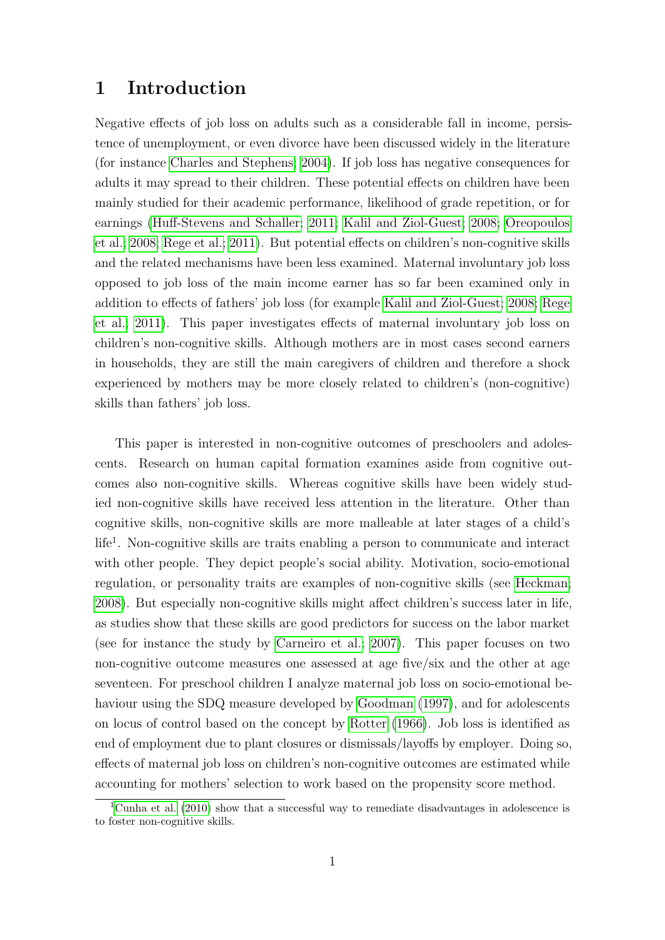### 1 Introduction

Negative effects of job loss on adults such as a considerable fall in income, persistence of unemployment, or even divorce have been discussed widely in the literature (for instance [Charles and Stephens; 2004\)](#page-27-0). If job loss has negative consequences for adults it may spread to their children. These potential effects on children have been mainly studied for their academic performance, likelihood of grade repetition, or for earnings [\(Huff-Stevens and Schaller; 2011;](#page-28-0) [Kalil and Ziol-Guest; 2008;](#page-29-0) [Oreopoulos](#page-29-1) [et al.; 2008;](#page-29-1) [Rege et al.; 2011\)](#page-29-2). But potential effects on children's non-cognitive skills and the related mechanisms have been less examined. Maternal involuntary job loss opposed to job loss of the main income earner has so far been examined only in addition to effects of fathers' job loss (for example [Kalil and Ziol-Guest; 2008;](#page-29-0) [Rege](#page-29-2) [et al.; 2011\)](#page-29-2). This paper investigates effects of maternal involuntary job loss on children's non-cognitive skills. Although mothers are in most cases second earners in households, they are still the main caregivers of children and therefore a shock experienced by mothers may be more closely related to children's (non-cognitive) skills than fathers' job loss.

This paper is interested in non-cognitive outcomes of preschoolers and adolescents. Research on human capital formation examines aside from cognitive outcomes also non-cognitive skills. Whereas cognitive skills have been widely studied non-cognitive skills have received less attention in the literature. Other than cognitive skills, non-cognitive skills are more malleable at later stages of a child's life<sup>1</sup>. Non-cognitive skills are traits enabling a person to communicate and interact with other people. They depict people's social ability. Motivation, socio-emotional regulation, or personality traits are examples of non-cognitive skills (see [Heckman;](#page-28-1) [2008\)](#page-28-1). But especially non-cognitive skills might affect children's success later in life, as studies show that these skills are good predictors for success on the labor market (see for instance the study by [Carneiro et al.; 2007\)](#page-27-1). This paper focuses on two non-cognitive outcome measures one assessed at age five/six and the other at age seventeen. For preschool children I analyze maternal job loss on socio-emotional behaviour using the SDQ measure developed by [Goodman](#page-28-2) [\(1997\)](#page-28-2), and for adolescents on locus of control based on the concept by [Rotter](#page-29-3) [\(1966\)](#page-29-3). Job loss is identified as end of employment due to plant closures or dismissals/layoffs by employer. Doing so, effects of maternal job loss on children's non-cognitive outcomes are estimated while accounting for mothers' selection to work based on the propensity score method.

<sup>&</sup>lt;sup>1</sup>[Cunha et al.](#page-27-2) [\(2010\)](#page-27-2) show that a successful way to remediate disadvantages in adolescence is to foster non-cognitive skills.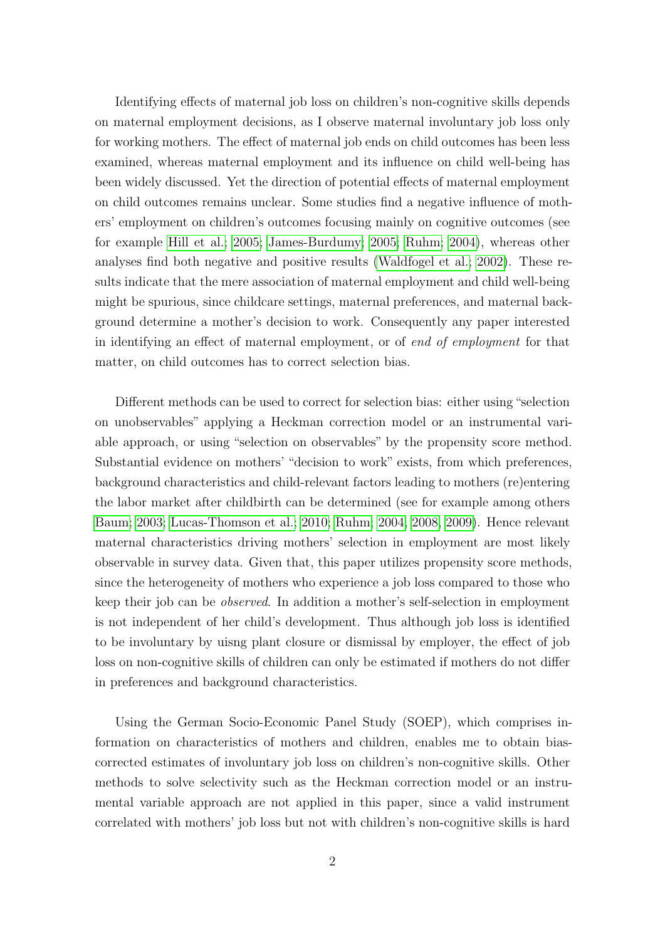Identifying effects of maternal job loss on children's non-cognitive skills depends on maternal employment decisions, as I observe maternal involuntary job loss only for working mothers. The effect of maternal job ends on child outcomes has been less examined, whereas maternal employment and its influence on child well-being has been widely discussed. Yet the direction of potential effects of maternal employment on child outcomes remains unclear. Some studies find a negative influence of mothers' employment on children's outcomes focusing mainly on cognitive outcomes (see for example [Hill et al.; 2005;](#page-28-3) [James-Burdumy; 2005;](#page-29-4) [Ruhm; 2004\)](#page-29-5), whereas other analyses find both negative and positive results [\(Waldfogel et al.; 2002\)](#page-30-0). These results indicate that the mere association of maternal employment and child well-being might be spurious, since childcare settings, maternal preferences, and maternal background determine a mother's decision to work. Consequently any paper interested in identifying an effect of maternal employment, or of end of employment for that matter, on child outcomes has to correct selection bias.

Different methods can be used to correct for selection bias: either using"selection on unobservables" applying a Heckman correction model or an instrumental variable approach, or using "selection on observables" by the propensity score method. Substantial evidence on mothers' "decision to work" exists, from which preferences, background characteristics and child-relevant factors leading to mothers (re)entering the labor market after childbirth can be determined (see for example among others [Baum; 2003;](#page-27-3) [Lucas-Thomson et al.; 2010;](#page-29-6) [Ruhm; 2004,](#page-29-5) [2008,](#page-30-1) [2009\)](#page-30-2). Hence relevant maternal characteristics driving mothers' selection in employment are most likely observable in survey data. Given that, this paper utilizes propensity score methods, since the heterogeneity of mothers who experience a job loss compared to those who keep their job can be observed. In addition a mother's self-selection in employment is not independent of her child's development. Thus although job loss is identified to be involuntary by uisng plant closure or dismissal by employer, the effect of job loss on non-cognitive skills of children can only be estimated if mothers do not differ in preferences and background characteristics.

Using the German Socio-Economic Panel Study (SOEP), which comprises information on characteristics of mothers and children, enables me to obtain biascorrected estimates of involuntary job loss on children's non-cognitive skills. Other methods to solve selectivity such as the Heckman correction model or an instrumental variable approach are not applied in this paper, since a valid instrument correlated with mothers' job loss but not with children's non-cognitive skills is hard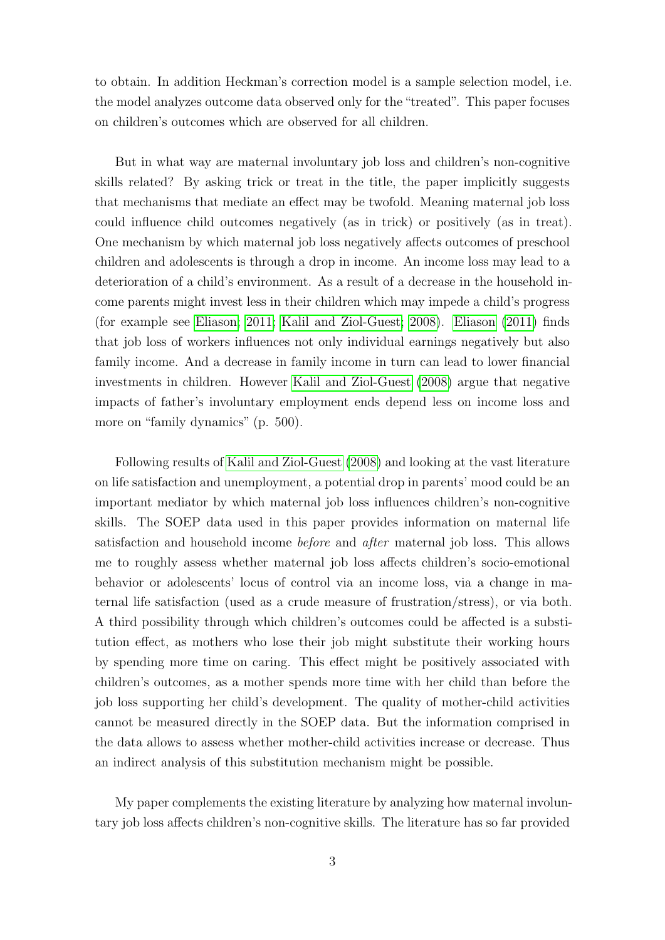to obtain. In addition Heckman's correction model is a sample selection model, i.e. the model analyzes outcome data observed only for the "treated". This paper focuses on children's outcomes which are observed for all children.

But in what way are maternal involuntary job loss and children's non-cognitive skills related? By asking trick or treat in the title, the paper implicitly suggests that mechanisms that mediate an effect may be twofold. Meaning maternal job loss could influence child outcomes negatively (as in trick) or positively (as in treat). One mechanism by which maternal job loss negatively affects outcomes of preschool children and adolescents is through a drop in income. An income loss may lead to a deterioration of a child's environment. As a result of a decrease in the household income parents might invest less in their children which may impede a child's progress (for example see [Eliason; 2011;](#page-28-4) [Kalil and Ziol-Guest; 2008\)](#page-29-0). [Eliason](#page-28-4) [\(2011\)](#page-28-4) finds that job loss of workers influences not only individual earnings negatively but also family income. And a decrease in family income in turn can lead to lower financial investments in children. However [Kalil and Ziol-Guest](#page-29-0) [\(2008\)](#page-29-0) argue that negative impacts of father's involuntary employment ends depend less on income loss and more on "family dynamics" (p. 500).

Following results of [Kalil and Ziol-Guest](#page-29-0) [\(2008\)](#page-29-0) and looking at the vast literature on life satisfaction and unemployment, a potential drop in parents' mood could be an important mediator by which maternal job loss influences children's non-cognitive skills. The SOEP data used in this paper provides information on maternal life satisfaction and household income before and after maternal job loss. This allows me to roughly assess whether maternal job loss affects children's socio-emotional behavior or adolescents' locus of control via an income loss, via a change in maternal life satisfaction (used as a crude measure of frustration/stress), or via both. A third possibility through which children's outcomes could be affected is a substitution effect, as mothers who lose their job might substitute their working hours by spending more time on caring. This effect might be positively associated with children's outcomes, as a mother spends more time with her child than before the job loss supporting her child's development. The quality of mother-child activities cannot be measured directly in the SOEP data. But the information comprised in the data allows to assess whether mother-child activities increase or decrease. Thus an indirect analysis of this substitution mechanism might be possible.

My paper complements the existing literature by analyzing how maternal involuntary job loss affects children's non-cognitive skills. The literature has so far provided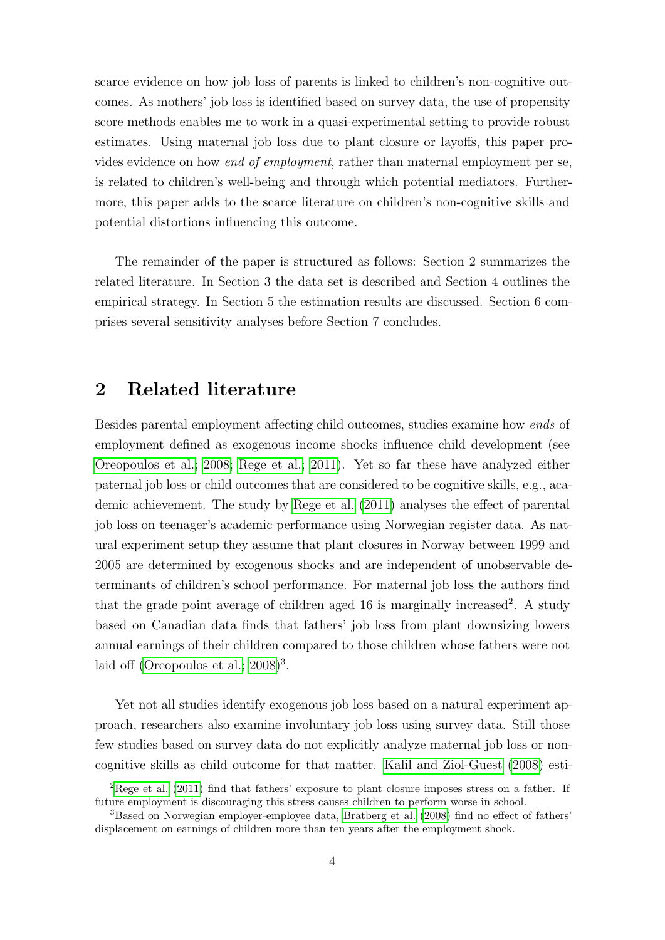scarce evidence on how job loss of parents is linked to children's non-cognitive outcomes. As mothers' job loss is identified based on survey data, the use of propensity score methods enables me to work in a quasi-experimental setting to provide robust estimates. Using maternal job loss due to plant closure or layoffs, this paper provides evidence on how end of employment, rather than maternal employment per se, is related to children's well-being and through which potential mediators. Furthermore, this paper adds to the scarce literature on children's non-cognitive skills and potential distortions influencing this outcome.

The remainder of the paper is structured as follows: Section 2 summarizes the related literature. In Section 3 the data set is described and Section 4 outlines the empirical strategy. In Section 5 the estimation results are discussed. Section 6 comprises several sensitivity analyses before Section 7 concludes.

### 2 Related literature

Besides parental employment affecting child outcomes, studies examine how ends of employment defined as exogenous income shocks influence child development (see [Oreopoulos et al.; 2008;](#page-29-1) [Rege et al.; 2011\)](#page-29-2). Yet so far these have analyzed either paternal job loss or child outcomes that are considered to be cognitive skills, e.g., academic achievement. The study by [Rege et al.](#page-29-2) [\(2011\)](#page-29-2) analyses the effect of parental job loss on teenager's academic performance using Norwegian register data. As natural experiment setup they assume that plant closures in Norway between 1999 and 2005 are determined by exogenous shocks and are independent of unobservable determinants of children's school performance. For maternal job loss the authors find that the grade point average of children aged  $16$  is marginally increased<sup>2</sup>. A study based on Canadian data finds that fathers' job loss from plant downsizing lowers annual earnings of their children compared to those children whose fathers were not laid off (Oreopoulos et al.;  $2008)^3$ .

Yet not all studies identify exogenous job loss based on a natural experiment approach, researchers also examine involuntary job loss using survey data. Still those few studies based on survey data do not explicitly analyze maternal job loss or noncognitive skills as child outcome for that matter. [Kalil and Ziol-Guest](#page-29-0) [\(2008\)](#page-29-0) esti-

 ${}^{2}$ [Rege et al.](#page-29-2) [\(2011\)](#page-29-2) find that fathers' exposure to plant closure imposes stress on a father. If future employment is discouraging this stress causes children to perform worse in school.

<sup>3</sup>Based on Norwegian employer-employee data, [Bratberg et al.](#page-27-4) [\(2008\)](#page-27-4) find no effect of fathers' displacement on earnings of children more than ten years after the employment shock.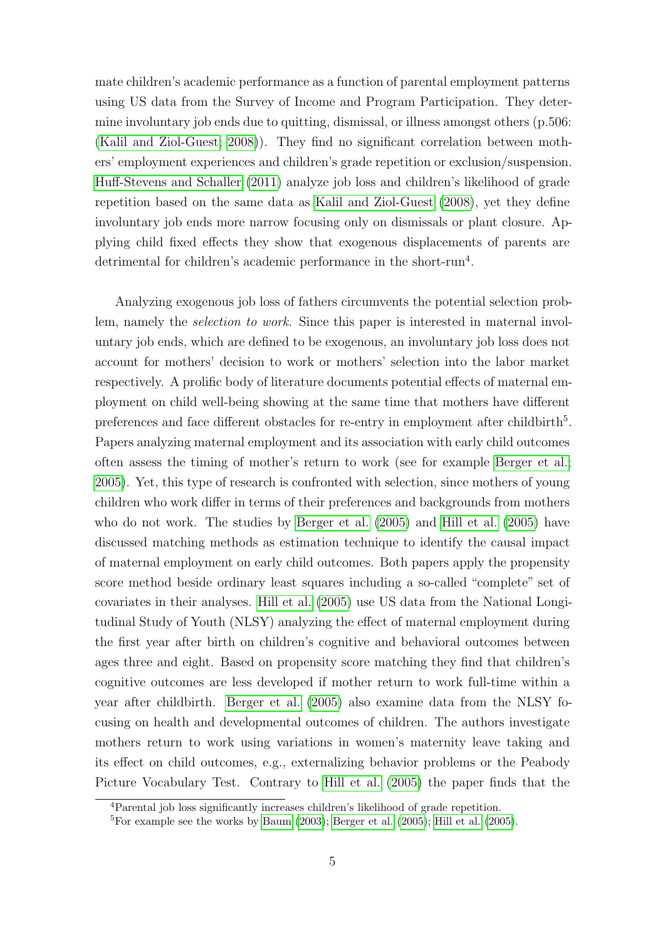mate children's academic performance as a function of parental employment patterns using US data from the Survey of Income and Program Participation. They determine involuntary job ends due to quitting, dismissal, or illness amongst others (p.506: [\(Kalil and Ziol-Guest; 2008\)](#page-29-0)). They find no significant correlation between mothers' employment experiences and children's grade repetition or exclusion/suspension. [Huff-Stevens and Schaller](#page-28-0) [\(2011\)](#page-28-0) analyze job loss and children's likelihood of grade repetition based on the same data as [Kalil and Ziol-Guest](#page-29-0) [\(2008\)](#page-29-0), yet they define involuntary job ends more narrow focusing only on dismissals or plant closure. Applying child fixed effects they show that exogenous displacements of parents are detrimental for children's academic performance in the short-run<sup>4</sup>.

Analyzing exogenous job loss of fathers circumvents the potential selection problem, namely the selection to work. Since this paper is interested in maternal involuntary job ends, which are defined to be exogenous, an involuntary job loss does not account for mothers' decision to work or mothers' selection into the labor market respectively. A prolific body of literature documents potential effects of maternal employment on child well-being showing at the same time that mothers have different preferences and face different obstacles for re-entry in employment after childbirth<sup>5</sup>. Papers analyzing maternal employment and its association with early child outcomes often assess the timing of mother's return to work (see for example [Berger et al.;](#page-27-5) [2005\)](#page-27-5). Yet, this type of research is confronted with selection, since mothers of young children who work differ in terms of their preferences and backgrounds from mothers who do not work. The studies by [Berger et al.](#page-27-5) [\(2005\)](#page-27-5) and [Hill et al.](#page-28-3) [\(2005\)](#page-28-3) have discussed matching methods as estimation technique to identify the causal impact of maternal employment on early child outcomes. Both papers apply the propensity score method beside ordinary least squares including a so-called "complete" set of covariates in their analyses. [Hill et al.](#page-28-3) [\(2005\)](#page-28-3) use US data from the National Longitudinal Study of Youth (NLSY) analyzing the effect of maternal employment during the first year after birth on children's cognitive and behavioral outcomes between ages three and eight. Based on propensity score matching they find that children's cognitive outcomes are less developed if mother return to work full-time within a year after childbirth. [Berger et al.](#page-27-5) [\(2005\)](#page-27-5) also examine data from the NLSY focusing on health and developmental outcomes of children. The authors investigate mothers return to work using variations in women's maternity leave taking and its effect on child outcomes, e.g., externalizing behavior problems or the Peabody Picture Vocabulary Test. Contrary to [Hill et al.](#page-28-3) [\(2005\)](#page-28-3) the paper finds that the

<sup>4</sup>Parental job loss significantly increases children's likelihood of grade repetition.

<sup>&</sup>lt;sup>5</sup>For example see the works by [Baum](#page-27-3)  $(2003)$ ; [Berger et al.](#page-27-5)  $(2005)$ ; [Hill et al.](#page-28-3)  $(2005)$ .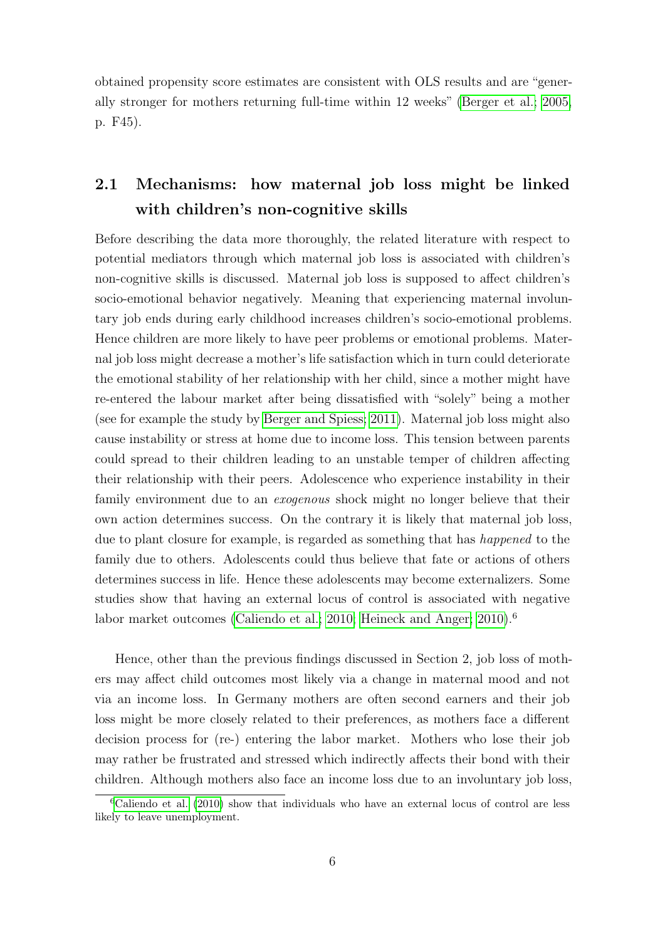obtained propensity score estimates are consistent with OLS results and are "generally stronger for mothers returning full-time within 12 weeks" [\(Berger et al.; 2005,](#page-27-5) p. F45).

### 2.1 Mechanisms: how maternal job loss might be linked with children's non-cognitive skills

Before describing the data more thoroughly, the related literature with respect to potential mediators through which maternal job loss is associated with children's non-cognitive skills is discussed. Maternal job loss is supposed to affect children's socio-emotional behavior negatively. Meaning that experiencing maternal involuntary job ends during early childhood increases children's socio-emotional problems. Hence children are more likely to have peer problems or emotional problems. Maternal job loss might decrease a mother's life satisfaction which in turn could deteriorate the emotional stability of her relationship with her child, since a mother might have re-entered the labour market after being dissatisfied with "solely" being a mother (see for example the study by [Berger and Spiess; 2011\)](#page-27-6). Maternal job loss might also cause instability or stress at home due to income loss. This tension between parents could spread to their children leading to an unstable temper of children affecting their relationship with their peers. Adolescence who experience instability in their family environment due to an *exogenous* shock might no longer believe that their own action determines success. On the contrary it is likely that maternal job loss, due to plant closure for example, is regarded as something that has *happened* to the family due to others. Adolescents could thus believe that fate or actions of others determines success in life. Hence these adolescents may become externalizers. Some studies show that having an external locus of control is associated with negative labor market outcomes [\(Caliendo et al.; 2010;](#page-27-7) [Heineck and Anger; 2010\)](#page-28-5).<sup>6</sup>

Hence, other than the previous findings discussed in Section 2, job loss of mothers may affect child outcomes most likely via a change in maternal mood and not via an income loss. In Germany mothers are often second earners and their job loss might be more closely related to their preferences, as mothers face a different decision process for (re-) entering the labor market. Mothers who lose their job may rather be frustrated and stressed which indirectly affects their bond with their children. Although mothers also face an income loss due to an involuntary job loss,

 ${}^6$ [Caliendo et al.](#page-27-7) [\(2010\)](#page-27-7) show that individuals who have an external locus of control are less likely to leave unemployment.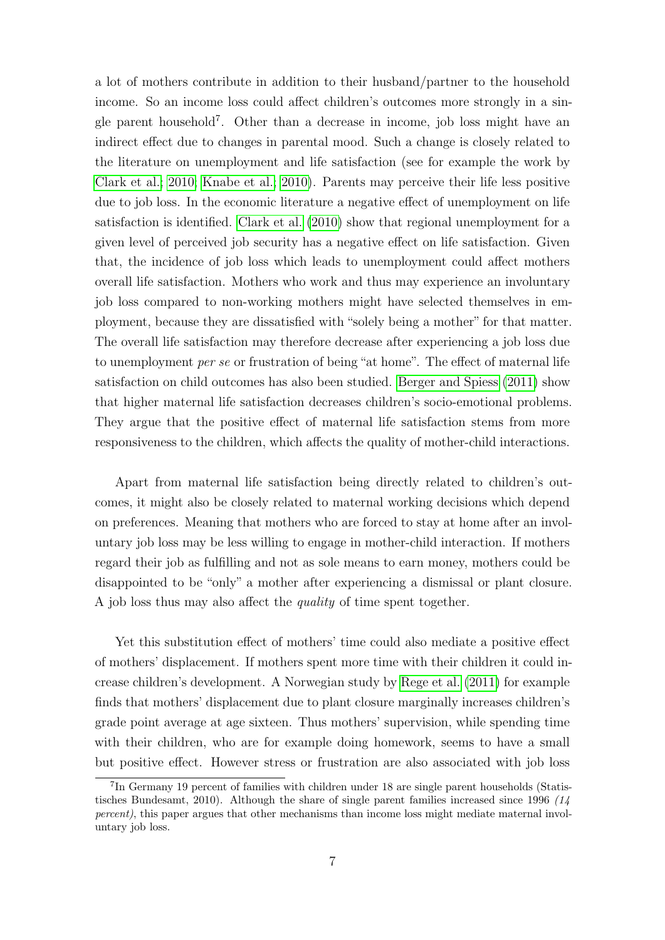a lot of mothers contribute in addition to their husband/partner to the household income. So an income loss could affect children's outcomes more strongly in a single parent household<sup>7</sup> . Other than a decrease in income, job loss might have an indirect effect due to changes in parental mood. Such a change is closely related to the literature on unemployment and life satisfaction (see for example the work by [Clark et al.; 2010;](#page-27-8) [Knabe et al.; 2010\)](#page-29-7). Parents may perceive their life less positive due to job loss. In the economic literature a negative effect of unemployment on life satisfaction is identified. [Clark et al.](#page-27-8) [\(2010\)](#page-27-8) show that regional unemployment for a given level of perceived job security has a negative effect on life satisfaction. Given that, the incidence of job loss which leads to unemployment could affect mothers overall life satisfaction. Mothers who work and thus may experience an involuntary job loss compared to non-working mothers might have selected themselves in employment, because they are dissatisfied with "solely being a mother" for that matter. The overall life satisfaction may therefore decrease after experiencing a job loss due to unemployment per se or frustration of being "at home". The effect of maternal life satisfaction on child outcomes has also been studied. [Berger and Spiess](#page-27-6) [\(2011\)](#page-27-6) show that higher maternal life satisfaction decreases children's socio-emotional problems. They argue that the positive effect of maternal life satisfaction stems from more responsiveness to the children, which affects the quality of mother-child interactions.

Apart from maternal life satisfaction being directly related to children's outcomes, it might also be closely related to maternal working decisions which depend on preferences. Meaning that mothers who are forced to stay at home after an involuntary job loss may be less willing to engage in mother-child interaction. If mothers regard their job as fulfilling and not as sole means to earn money, mothers could be disappointed to be "only" a mother after experiencing a dismissal or plant closure. A job loss thus may also affect the *quality* of time spent together.

Yet this substitution effect of mothers' time could also mediate a positive effect of mothers' displacement. If mothers spent more time with their children it could increase children's development. A Norwegian study by [Rege et al.](#page-29-2) [\(2011\)](#page-29-2) for example finds that mothers' displacement due to plant closure marginally increases children's grade point average at age sixteen. Thus mothers' supervision, while spending time with their children, who are for example doing homework, seems to have a small but positive effect. However stress or frustration are also associated with job loss

<sup>7</sup> In Germany 19 percent of families with children under 18 are single parent households (Statistisches Bundesamt, 2010). Although the share of single parent families increased since 1996  $/14$ percent), this paper argues that other mechanisms than income loss might mediate maternal involuntary job loss.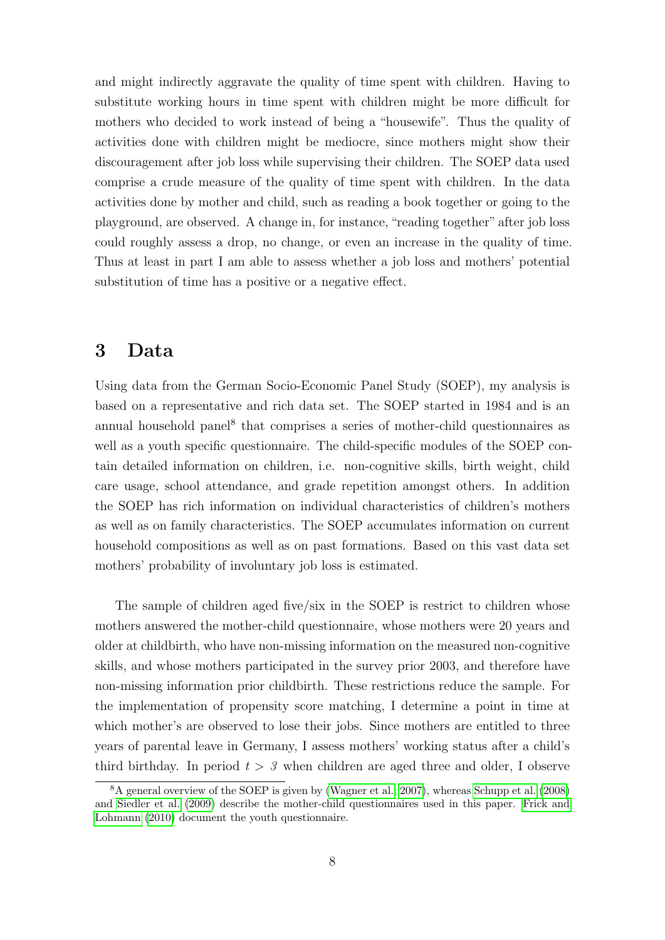and might indirectly aggravate the quality of time spent with children. Having to substitute working hours in time spent with children might be more difficult for mothers who decided to work instead of being a "housewife". Thus the quality of activities done with children might be mediocre, since mothers might show their discouragement after job loss while supervising their children. The SOEP data used comprise a crude measure of the quality of time spent with children. In the data activities done by mother and child, such as reading a book together or going to the playground, are observed. A change in, for instance, "reading together" after job loss could roughly assess a drop, no change, or even an increase in the quality of time. Thus at least in part I am able to assess whether a job loss and mothers' potential substitution of time has a positive or a negative effect.

### 3 Data

Using data from the German Socio-Economic Panel Study (SOEP), my analysis is based on a representative and rich data set. The SOEP started in 1984 and is an annual household panel<sup>8</sup> that comprises a series of mother-child questionnaires as well as a youth specific questionnaire. The child-specific modules of the SOEP contain detailed information on children, i.e. non-cognitive skills, birth weight, child care usage, school attendance, and grade repetition amongst others. In addition the SOEP has rich information on individual characteristics of children's mothers as well as on family characteristics. The SOEP accumulates information on current household compositions as well as on past formations. Based on this vast data set mothers' probability of involuntary job loss is estimated.

The sample of children aged five/six in the SOEP is restrict to children whose mothers answered the mother-child questionnaire, whose mothers were 20 years and older at childbirth, who have non-missing information on the measured non-cognitive skills, and whose mothers participated in the survey prior 2003, and therefore have non-missing information prior childbirth. These restrictions reduce the sample. For the implementation of propensity score matching, I determine a point in time at which mother's are observed to lose their jobs. Since mothers are entitled to three years of parental leave in Germany, I assess mothers' working status after a child's third birthday. In period  $t > 3$  when children are aged three and older, I observe

<sup>8</sup>A general overview of the SOEP is given by [\(Wagner et al.; 2007\)](#page-30-3), whereas [Schupp et al.](#page-30-4) [\(2008\)](#page-30-4) and [Siedler et al.](#page-30-5) [\(2009\)](#page-30-5) describe the mother-child questionnaires used in this paper. [Frick and](#page-28-6) [Lohmann](#page-28-6) [\(2010\)](#page-28-6) document the youth questionnaire.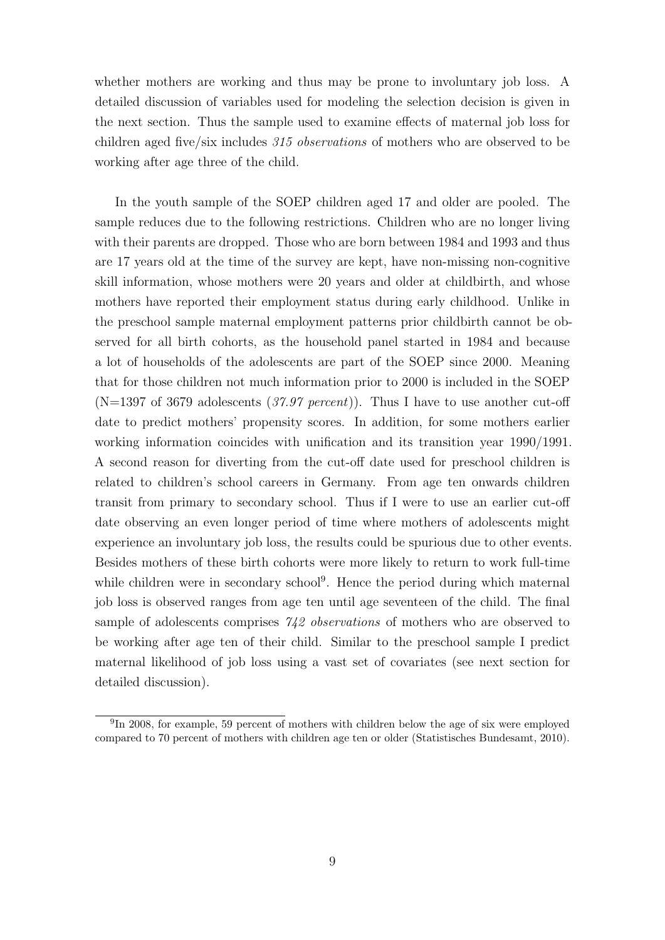whether mothers are working and thus may be prone to involuntary job loss. A detailed discussion of variables used for modeling the selection decision is given in the next section. Thus the sample used to examine effects of maternal job loss for children aged five/six includes 315 observations of mothers who are observed to be working after age three of the child.

In the youth sample of the SOEP children aged 17 and older are pooled. The sample reduces due to the following restrictions. Children who are no longer living with their parents are dropped. Those who are born between 1984 and 1993 and thus are 17 years old at the time of the survey are kept, have non-missing non-cognitive skill information, whose mothers were 20 years and older at childbirth, and whose mothers have reported their employment status during early childhood. Unlike in the preschool sample maternal employment patterns prior childbirth cannot be observed for all birth cohorts, as the household panel started in 1984 and because a lot of households of the adolescents are part of the SOEP since 2000. Meaning that for those children not much information prior to 2000 is included in the SOEP (N=1397 of 3679 adolescents (37.97 percent)). Thus I have to use another cut-off date to predict mothers' propensity scores. In addition, for some mothers earlier working information coincides with unification and its transition year 1990/1991. A second reason for diverting from the cut-off date used for preschool children is related to children's school careers in Germany. From age ten onwards children transit from primary to secondary school. Thus if I were to use an earlier cut-off date observing an even longer period of time where mothers of adolescents might experience an involuntary job loss, the results could be spurious due to other events. Besides mothers of these birth cohorts were more likely to return to work full-time while children were in secondary school<sup>9</sup>. Hence the period during which maternal job loss is observed ranges from age ten until age seventeen of the child. The final sample of adolescents comprises 742 *observations* of mothers who are observed to be working after age ten of their child. Similar to the preschool sample I predict maternal likelihood of job loss using a vast set of covariates (see next section for detailed discussion).

<sup>&</sup>lt;sup>9</sup>In 2008, for example, 59 percent of mothers with children below the age of six were employed compared to 70 percent of mothers with children age ten or older (Statistisches Bundesamt, 2010).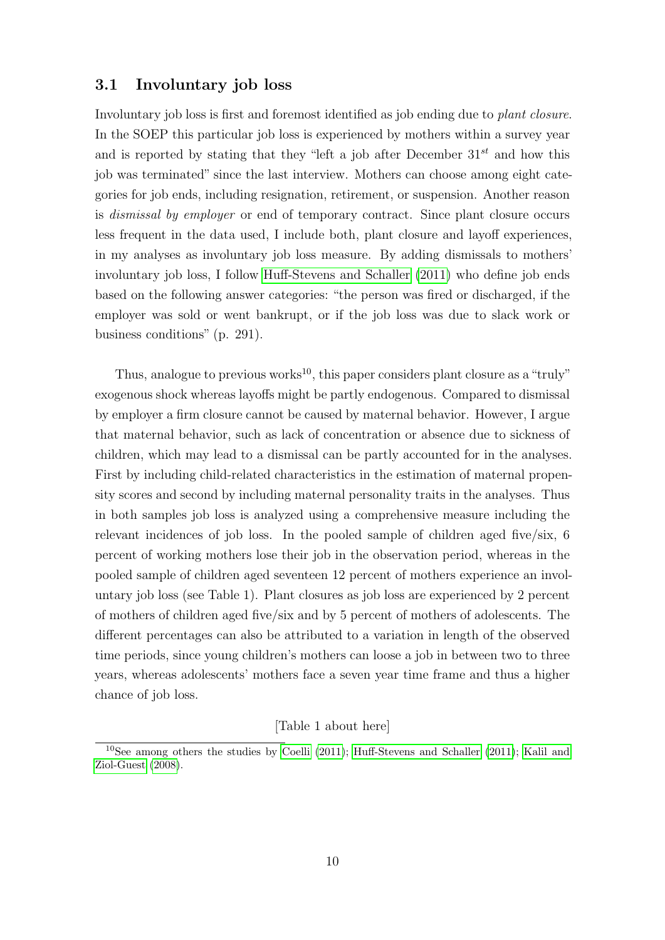### 3.1 Involuntary job loss

Involuntary job loss is first and foremost identified as job ending due to plant closure. In the SOEP this particular job loss is experienced by mothers within a survey year and is reported by stating that they "left a job after December  $31^{st}$  and how this job was terminated" since the last interview. Mothers can choose among eight categories for job ends, including resignation, retirement, or suspension. Another reason is dismissal by employer or end of temporary contract. Since plant closure occurs less frequent in the data used, I include both, plant closure and layoff experiences, in my analyses as involuntary job loss measure. By adding dismissals to mothers' involuntary job loss, I follow [Huff-Stevens and Schaller](#page-28-0) [\(2011\)](#page-28-0) who define job ends based on the following answer categories: "the person was fired or discharged, if the employer was sold or went bankrupt, or if the job loss was due to slack work or business conditions" (p. 291).

Thus, analogue to previous works<sup>10</sup>, this paper considers plant closure as a "truly" exogenous shock whereas layoffs might be partly endogenous. Compared to dismissal by employer a firm closure cannot be caused by maternal behavior. However, I argue that maternal behavior, such as lack of concentration or absence due to sickness of children, which may lead to a dismissal can be partly accounted for in the analyses. First by including child-related characteristics in the estimation of maternal propensity scores and second by including maternal personality traits in the analyses. Thus in both samples job loss is analyzed using a comprehensive measure including the relevant incidences of job loss. In the pooled sample of children aged five/six, 6 percent of working mothers lose their job in the observation period, whereas in the pooled sample of children aged seventeen 12 percent of mothers experience an involuntary job loss (see Table 1). Plant closures as job loss are experienced by 2 percent of mothers of children aged five/six and by 5 percent of mothers of adolescents. The different percentages can also be attributed to a variation in length of the observed time periods, since young children's mothers can loose a job in between two to three years, whereas adolescents' mothers face a seven year time frame and thus a higher chance of job loss.

### [Table 1 about here]

<sup>10</sup>See among others the studies by [Coelli](#page-27-9) [\(2011\)](#page-27-9); [Huff-Stevens and Schaller](#page-28-0) [\(2011\)](#page-28-0); [Kalil and](#page-29-0) [Ziol-Guest](#page-29-0) [\(2008\)](#page-29-0).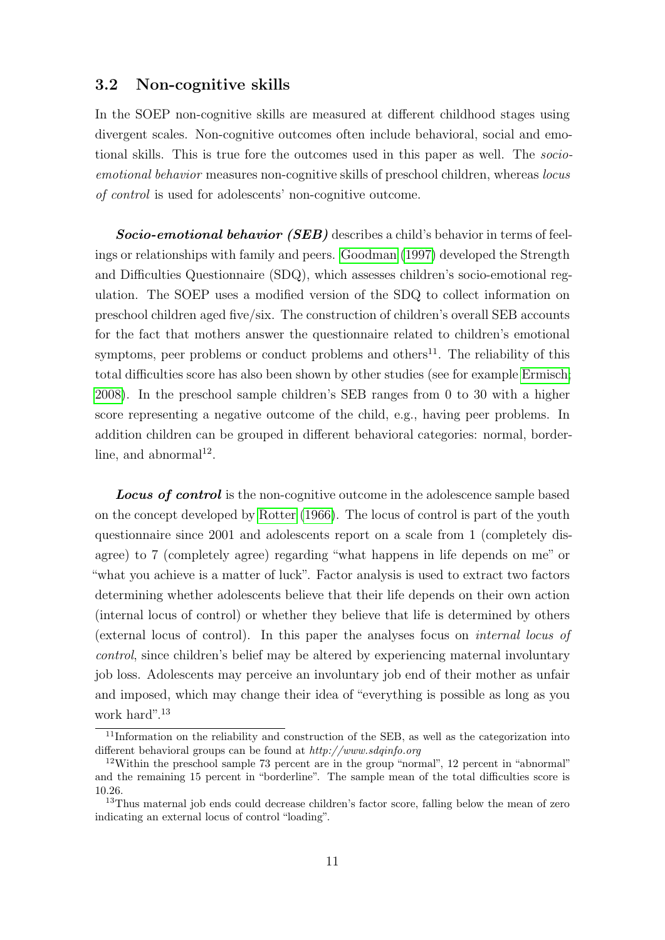### 3.2 Non-cognitive skills

In the SOEP non-cognitive skills are measured at different childhood stages using divergent scales. Non-cognitive outcomes often include behavioral, social and emotional skills. This is true fore the outcomes used in this paper as well. The socioemotional behavior measures non-cognitive skills of preschool children, whereas locus of control is used for adolescents' non-cognitive outcome.

Socio-emotional behavior (SEB) describes a child's behavior in terms of feelings or relationships with family and peers. [Goodman](#page-28-2) [\(1997\)](#page-28-2) developed the Strength and Difficulties Questionnaire (SDQ), which assesses children's socio-emotional regulation. The SOEP uses a modified version of the SDQ to collect information on preschool children aged five/six. The construction of children's overall SEB accounts for the fact that mothers answer the questionnaire related to children's emotional symptoms, peer problems or conduct problems and others $^{11}$ . The reliability of this total difficulties score has also been shown by other studies (see for example [Ermisch;](#page-28-7) [2008\)](#page-28-7). In the preschool sample children's SEB ranges from 0 to 30 with a higher score representing a negative outcome of the child, e.g., having peer problems. In addition children can be grouped in different behavioral categories: normal, borderline, and abnormal<sup>12</sup>.

**Locus of control** is the non-cognitive outcome in the adolescence sample based on the concept developed by [Rotter](#page-29-3) [\(1966\)](#page-29-3). The locus of control is part of the youth questionnaire since 2001 and adolescents report on a scale from 1 (completely disagree) to 7 (completely agree) regarding "what happens in life depends on me" or "what you achieve is a matter of luck". Factor analysis is used to extract two factors determining whether adolescents believe that their life depends on their own action (internal locus of control) or whether they believe that life is determined by others (external locus of control). In this paper the analyses focus on internal locus of control, since children's belief may be altered by experiencing maternal involuntary job loss. Adolescents may perceive an involuntary job end of their mother as unfair and imposed, which may change their idea of "everything is possible as long as you work hard".<sup>13</sup>

<sup>&</sup>lt;sup>11</sup>Information on the reliability and construction of the SEB, as well as the categorization into different behavioral groups can be found at http://www.sdqinfo.org

<sup>&</sup>lt;sup>12</sup>Within the preschool sample 73 percent are in the group "normal", 12 percent in "abnormal" and the remaining 15 percent in "borderline". The sample mean of the total difficulties score is 10.26.

<sup>&</sup>lt;sup>13</sup>Thus maternal job ends could decrease children's factor score, falling below the mean of zero indicating an external locus of control "loading".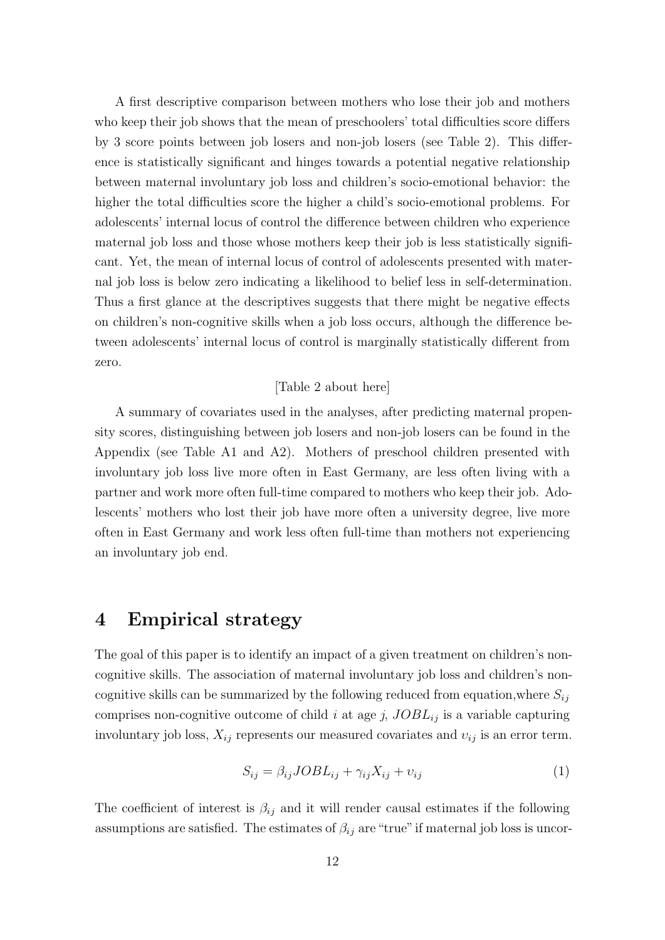A first descriptive comparison between mothers who lose their job and mothers who keep their job shows that the mean of preschoolers' total difficulties score differs by 3 score points between job losers and non-job losers (see Table 2). This difference is statistically significant and hinges towards a potential negative relationship between maternal involuntary job loss and children's socio-emotional behavior: the higher the total difficulties score the higher a child's socio-emotional problems. For adolescents' internal locus of control the difference between children who experience maternal job loss and those whose mothers keep their job is less statistically significant. Yet, the mean of internal locus of control of adolescents presented with maternal job loss is below zero indicating a likelihood to belief less in self-determination. Thus a first glance at the descriptives suggests that there might be negative effects on children's non-cognitive skills when a job loss occurs, although the difference between adolescents' internal locus of control is marginally statistically different from zero.

### [Table 2 about here]

A summary of covariates used in the analyses, after predicting maternal propensity scores, distinguishing between job losers and non-job losers can be found in the Appendix (see Table A1 and A2). Mothers of preschool children presented with involuntary job loss live more often in East Germany, are less often living with a partner and work more often full-time compared to mothers who keep their job. Adolescents' mothers who lost their job have more often a university degree, live more often in East Germany and work less often full-time than mothers not experiencing an involuntary job end.

### 4 Empirical strategy

The goal of this paper is to identify an impact of a given treatment on children's noncognitive skills. The association of maternal involuntary job loss and children's noncognitive skills can be summarized by the following reduced from equation, where  $S_{ij}$ comprises non-cognitive outcome of child i at age j,  $JOBL_{ij}$  is a variable capturing involuntary job loss,  $X_{ij}$  represents our measured covariates and  $v_{ij}$  is an error term.

$$
S_{ij} = \beta_{ij} J OBL_{ij} + \gamma_{ij} X_{ij} + v_{ij}
$$
\n<sup>(1)</sup>

The coefficient of interest is  $\beta_{ij}$  and it will render causal estimates if the following assumptions are satisfied. The estimates of  $\beta_{ij}$  are "true" if maternal job loss is uncor-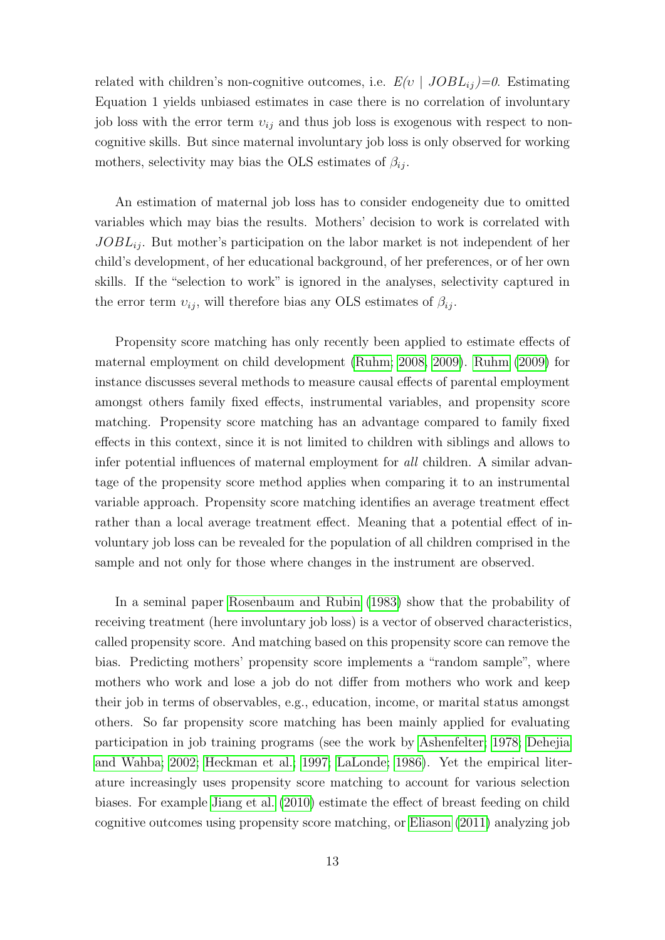related with children's non-cognitive outcomes, i.e.  $E(v | JOBL_{ij})=0$ . Estimating Equation 1 yields unbiased estimates in case there is no correlation of involuntary job loss with the error term  $v_{ij}$  and thus job loss is exogenous with respect to noncognitive skills. But since maternal involuntary job loss is only observed for working mothers, selectivity may bias the OLS estimates of  $\beta_{ij}$ .

An estimation of maternal job loss has to consider endogeneity due to omitted variables which may bias the results. Mothers' decision to work is correlated with  $JOBL_{ij}$ . But mother's participation on the labor market is not independent of her child's development, of her educational background, of her preferences, or of her own skills. If the "selection to work" is ignored in the analyses, selectivity captured in the error term  $v_{ij}$ , will therefore bias any OLS estimates of  $\beta_{ij}$ .

Propensity score matching has only recently been applied to estimate effects of maternal employment on child development [\(Ruhm; 2008,](#page-30-1) [2009\)](#page-30-2). [Ruhm](#page-30-2) [\(2009\)](#page-30-2) for instance discusses several methods to measure causal effects of parental employment amongst others family fixed effects, instrumental variables, and propensity score matching. Propensity score matching has an advantage compared to family fixed effects in this context, since it is not limited to children with siblings and allows to infer potential influences of maternal employment for all children. A similar advantage of the propensity score method applies when comparing it to an instrumental variable approach. Propensity score matching identifies an average treatment effect rather than a local average treatment effect. Meaning that a potential effect of involuntary job loss can be revealed for the population of all children comprised in the sample and not only for those where changes in the instrument are observed.

In a seminal paper [Rosenbaum and Rubin](#page-29-8) [\(1983\)](#page-29-8) show that the probability of receiving treatment (here involuntary job loss) is a vector of observed characteristics, called propensity score. And matching based on this propensity score can remove the bias. Predicting mothers' propensity score implements a "random sample", where mothers who work and lose a job do not differ from mothers who work and keep their job in terms of observables, e.g., education, income, or marital status amongst others. So far propensity score matching has been mainly applied for evaluating participation in job training programs (see the work by [Ashenfelter; 1978;](#page-27-10) [Dehejia](#page-27-11) [and Wahba; 2002;](#page-27-11) [Heckman et al.; 1997;](#page-28-8) [LaLonde; 1986\)](#page-29-9). Yet the empirical literature increasingly uses propensity score matching to account for various selection biases. For example [Jiang et al.](#page-29-10) [\(2010\)](#page-29-10) estimate the effect of breast feeding on child cognitive outcomes using propensity score matching, or [Eliason](#page-28-4) [\(2011\)](#page-28-4) analyzing job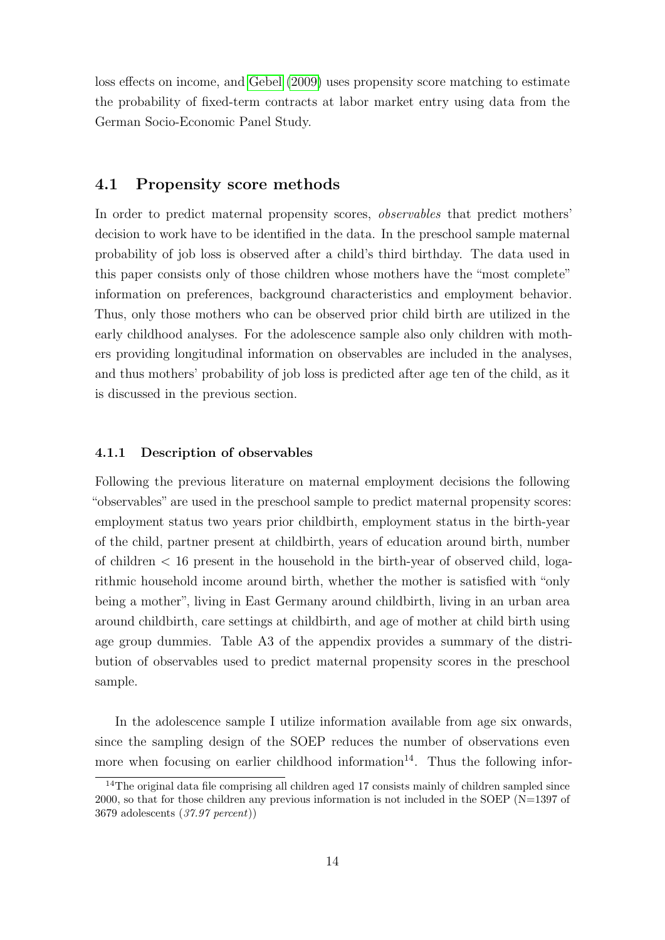loss effects on income, and [Gebel](#page-28-9) [\(2009\)](#page-28-9) uses propensity score matching to estimate the probability of fixed-term contracts at labor market entry using data from the German Socio-Economic Panel Study.

### 4.1 Propensity score methods

In order to predict maternal propensity scores, observables that predict mothers' decision to work have to be identified in the data. In the preschool sample maternal probability of job loss is observed after a child's third birthday. The data used in this paper consists only of those children whose mothers have the "most complete" information on preferences, background characteristics and employment behavior. Thus, only those mothers who can be observed prior child birth are utilized in the early childhood analyses. For the adolescence sample also only children with mothers providing longitudinal information on observables are included in the analyses, and thus mothers' probability of job loss is predicted after age ten of the child, as it is discussed in the previous section.

#### 4.1.1 Description of observables

Following the previous literature on maternal employment decisions the following "observables" are used in the preschool sample to predict maternal propensity scores: employment status two years prior childbirth, employment status in the birth-year of the child, partner present at childbirth, years of education around birth, number of children < 16 present in the household in the birth-year of observed child, logarithmic household income around birth, whether the mother is satisfied with "only being a mother", living in East Germany around childbirth, living in an urban area around childbirth, care settings at childbirth, and age of mother at child birth using age group dummies. Table A3 of the appendix provides a summary of the distribution of observables used to predict maternal propensity scores in the preschool sample.

In the adolescence sample I utilize information available from age six onwards, since the sampling design of the SOEP reduces the number of observations even more when focusing on earlier childhood information<sup>14</sup>. Thus the following infor-

 $14$ The original data file comprising all children aged 17 consists mainly of children sampled since 2000, so that for those children any previous information is not included in the SOEP (N=1397 of 3679 adolescents (37.97 percent))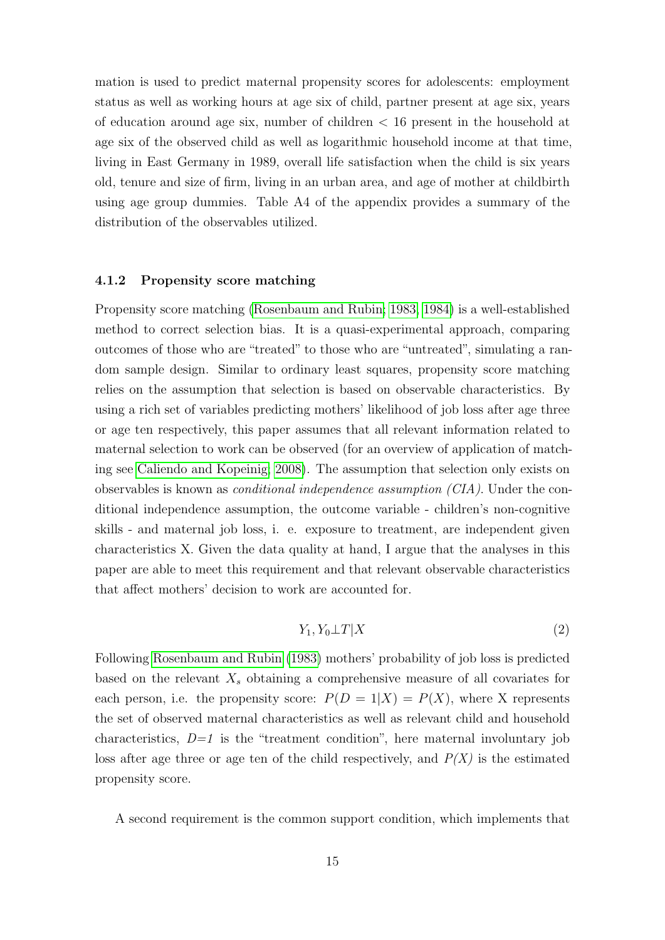mation is used to predict maternal propensity scores for adolescents: employment status as well as working hours at age six of child, partner present at age six, years of education around age six, number of children < 16 present in the household at age six of the observed child as well as logarithmic household income at that time, living in East Germany in 1989, overall life satisfaction when the child is six years old, tenure and size of firm, living in an urban area, and age of mother at childbirth using age group dummies. Table A4 of the appendix provides a summary of the distribution of the observables utilized.

#### 4.1.2 Propensity score matching

Propensity score matching [\(Rosenbaum and Rubin; 1983,](#page-29-8) [1984\)](#page-29-11) is a well-established method to correct selection bias. It is a quasi-experimental approach, comparing outcomes of those who are "treated" to those who are "untreated", simulating a random sample design. Similar to ordinary least squares, propensity score matching relies on the assumption that selection is based on observable characteristics. By using a rich set of variables predicting mothers' likelihood of job loss after age three or age ten respectively, this paper assumes that all relevant information related to maternal selection to work can be observed (for an overview of application of matching see [Caliendo and Kopeinig; 2008\)](#page-27-12). The assumption that selection only exists on observables is known as *conditional independence assumption (CIA)*. Under the conditional independence assumption, the outcome variable - children's non-cognitive skills - and maternal job loss, i. e. exposure to treatment, are independent given characteristics X. Given the data quality at hand, I argue that the analyses in this paper are able to meet this requirement and that relevant observable characteristics that affect mothers' decision to work are accounted for.

$$
Y_1, Y_0 \perp T | X \tag{2}
$$

Following [Rosenbaum and Rubin](#page-29-8) [\(1983\)](#page-29-8) mothers' probability of job loss is predicted based on the relevant  $X_s$  obtaining a comprehensive measure of all covariates for each person, i.e. the propensity score:  $P(D = 1|X) = P(X)$ , where X represents the set of observed maternal characteristics as well as relevant child and household characteristics,  $D=1$  is the "treatment condition", here maternal involuntary job loss after age three or age ten of the child respectively, and  $P(X)$  is the estimated propensity score.

A second requirement is the common support condition, which implements that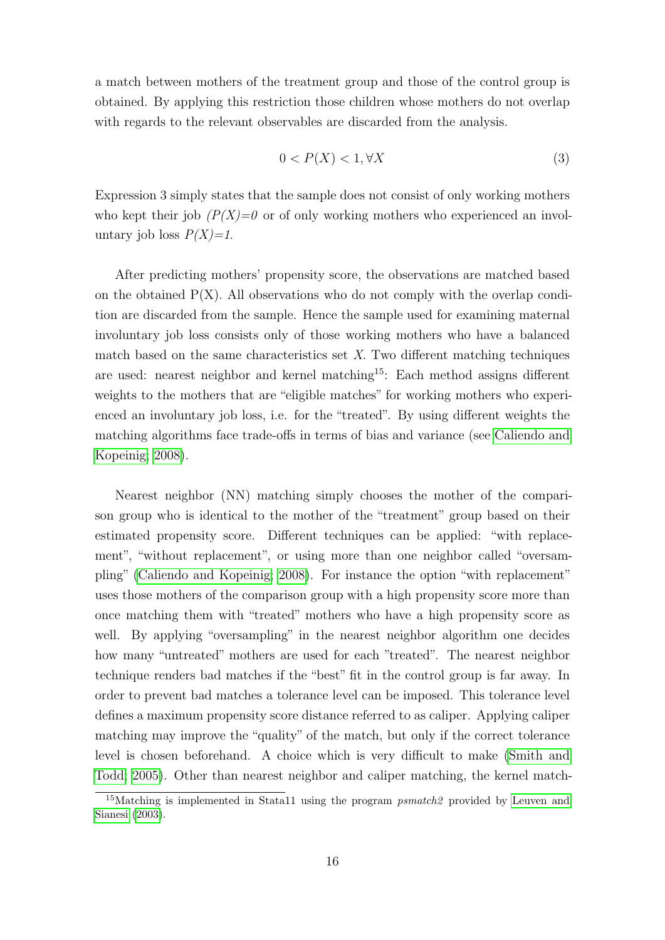a match between mothers of the treatment group and those of the control group is obtained. By applying this restriction those children whose mothers do not overlap with regards to the relevant observables are discarded from the analysis.

$$
0 < P(X) < 1, \forall X \tag{3}
$$

Expression 3 simply states that the sample does not consist of only working mothers who kept their job  $(P(X)=0$  or of only working mothers who experienced an involuntary job loss  $P(X)=1$ .

After predicting mothers' propensity score, the observations are matched based on the obtained  $P(X)$ . All observations who do not comply with the overlap condition are discarded from the sample. Hence the sample used for examining maternal involuntary job loss consists only of those working mothers who have a balanced match based on the same characteristics set  $X$ . Two different matching techniques are used: nearest neighbor and kernel matching<sup>15</sup>: Each method assigns different weights to the mothers that are "eligible matches" for working mothers who experienced an involuntary job loss, i.e. for the "treated". By using different weights the matching algorithms face trade-offs in terms of bias and variance (see [Caliendo and](#page-27-12) [Kopeinig; 2008\)](#page-27-12).

Nearest neighbor (NN) matching simply chooses the mother of the comparison group who is identical to the mother of the "treatment" group based on their estimated propensity score. Different techniques can be applied: "with replacement", "without replacement", or using more than one neighbor called "oversampling" [\(Caliendo and Kopeinig; 2008\)](#page-27-12). For instance the option "with replacement" uses those mothers of the comparison group with a high propensity score more than once matching them with "treated" mothers who have a high propensity score as well. By applying "oversampling" in the nearest neighbor algorithm one decides how many "untreated" mothers are used for each "treated". The nearest neighbor technique renders bad matches if the "best" fit in the control group is far away. In order to prevent bad matches a tolerance level can be imposed. This tolerance level defines a maximum propensity score distance referred to as caliper. Applying caliper matching may improve the "quality" of the match, but only if the correct tolerance level is chosen beforehand. A choice which is very difficult to make [\(Smith and](#page-30-6) [Todd; 2005\)](#page-30-6). Other than nearest neighbor and caliper matching, the kernel match-

<sup>&</sup>lt;sup>15</sup>Matching is implemented in Stata11 using the program  $psmatch2$  provided by [Leuven and](#page-29-12) [Sianesi](#page-29-12) [\(2003\)](#page-29-12).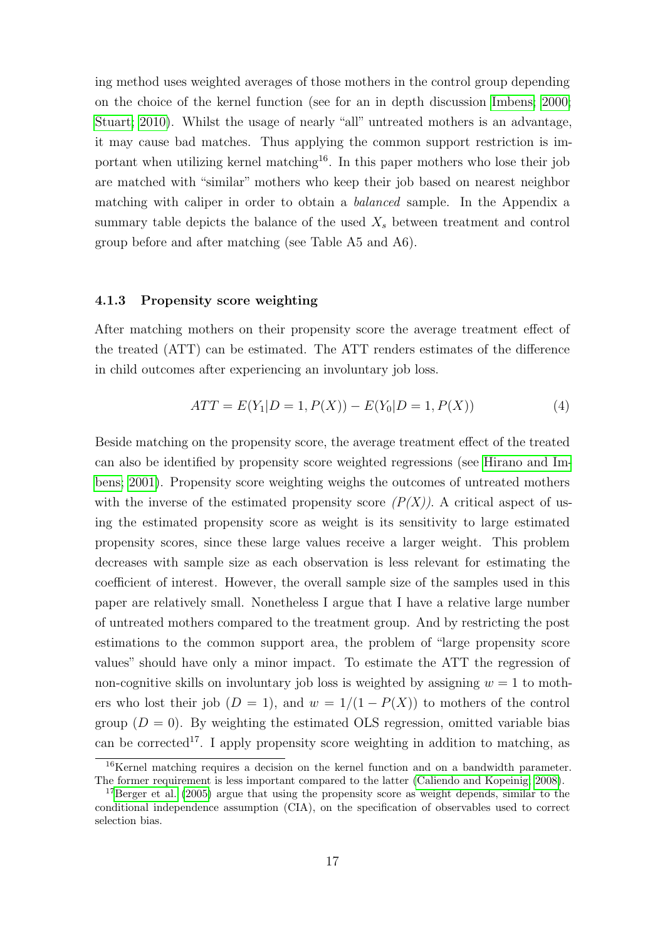ing method uses weighted averages of those mothers in the control group depending on the choice of the kernel function (see for an in depth discussion [Imbens; 2000;](#page-28-10) [Stuart; 2010\)](#page-30-7). Whilst the usage of nearly "all" untreated mothers is an advantage, it may cause bad matches. Thus applying the common support restriction is important when utilizing kernel matching<sup>16</sup>. In this paper mothers who lose their job are matched with "similar" mothers who keep their job based on nearest neighbor matching with caliper in order to obtain a *balanced* sample. In the Appendix a summary table depicts the balance of the used  $X_s$  between treatment and control group before and after matching (see Table A5 and A6).

#### 4.1.3 Propensity score weighting

After matching mothers on their propensity score the average treatment effect of the treated (ATT) can be estimated. The ATT renders estimates of the difference in child outcomes after experiencing an involuntary job loss.

$$
ATT = E(Y_1|D = 1, P(X)) - E(Y_0|D = 1, P(X))
$$
\n(4)

Beside matching on the propensity score, the average treatment effect of the treated can also be identified by propensity score weighted regressions (see [Hirano and Im](#page-28-11)[bens; 2001\)](#page-28-11). Propensity score weighting weighs the outcomes of untreated mothers with the inverse of the estimated propensity score  $(P(X))$ . A critical aspect of using the estimated propensity score as weight is its sensitivity to large estimated propensity scores, since these large values receive a larger weight. This problem decreases with sample size as each observation is less relevant for estimating the coefficient of interest. However, the overall sample size of the samples used in this paper are relatively small. Nonetheless I argue that I have a relative large number of untreated mothers compared to the treatment group. And by restricting the post estimations to the common support area, the problem of "large propensity score values" should have only a minor impact. To estimate the ATT the regression of non-cognitive skills on involuntary job loss is weighted by assigning  $w = 1$  to mothers who lost their job  $(D = 1)$ , and  $w = 1/(1 - P(X))$  to mothers of the control group  $(D = 0)$ . By weighting the estimated OLS regression, omitted variable bias can be corrected<sup>17</sup>. I apply propensity score weighting in addition to matching, as

<sup>16</sup>Kernel matching requires a decision on the kernel function and on a bandwidth parameter. The former requirement is less important compared to the latter [\(Caliendo and Kopeinig; 2008\)](#page-27-12).

 $17$ [Berger et al.](#page-27-5) [\(2005\)](#page-27-5) argue that using the propensity score as weight depends, similar to the conditional independence assumption (CIA), on the specification of observables used to correct selection bias.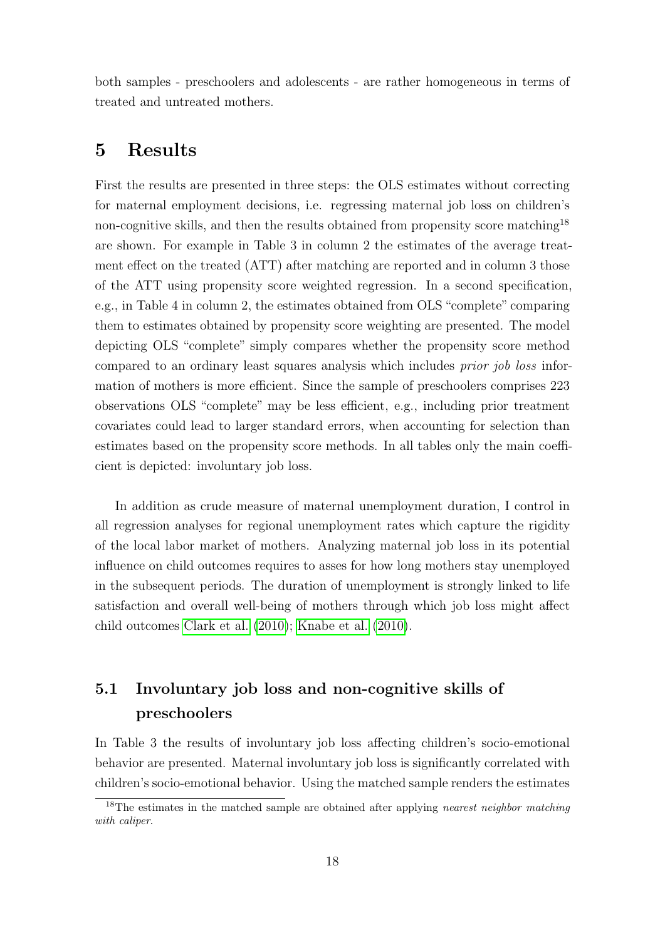both samples - preschoolers and adolescents - are rather homogeneous in terms of treated and untreated mothers.

### 5 Results

First the results are presented in three steps: the OLS estimates without correcting for maternal employment decisions, i.e. regressing maternal job loss on children's non-cognitive skills, and then the results obtained from propensity score matching<sup>18</sup> are shown. For example in Table 3 in column 2 the estimates of the average treatment effect on the treated (ATT) after matching are reported and in column 3 those of the ATT using propensity score weighted regression. In a second specification, e.g., in Table 4 in column 2, the estimates obtained from OLS "complete" comparing them to estimates obtained by propensity score weighting are presented. The model depicting OLS "complete" simply compares whether the propensity score method compared to an ordinary least squares analysis which includes *prior job loss* information of mothers is more efficient. Since the sample of preschoolers comprises 223 observations OLS "complete" may be less efficient, e.g., including prior treatment covariates could lead to larger standard errors, when accounting for selection than estimates based on the propensity score methods. In all tables only the main coefficient is depicted: involuntary job loss.

In addition as crude measure of maternal unemployment duration, I control in all regression analyses for regional unemployment rates which capture the rigidity of the local labor market of mothers. Analyzing maternal job loss in its potential influence on child outcomes requires to asses for how long mothers stay unemployed in the subsequent periods. The duration of unemployment is strongly linked to life satisfaction and overall well-being of mothers through which job loss might affect child outcomes [Clark et al.](#page-27-8) [\(2010\)](#page-27-8); [Knabe et al.](#page-29-7) [\(2010\)](#page-29-7).

### 5.1 Involuntary job loss and non-cognitive skills of preschoolers

In Table 3 the results of involuntary job loss affecting children's socio-emotional behavior are presented. Maternal involuntary job loss is significantly correlated with children's socio-emotional behavior. Using the matched sample renders the estimates

<sup>&</sup>lt;sup>18</sup>The estimates in the matched sample are obtained after applying *nearest neighbor matching* with caliper.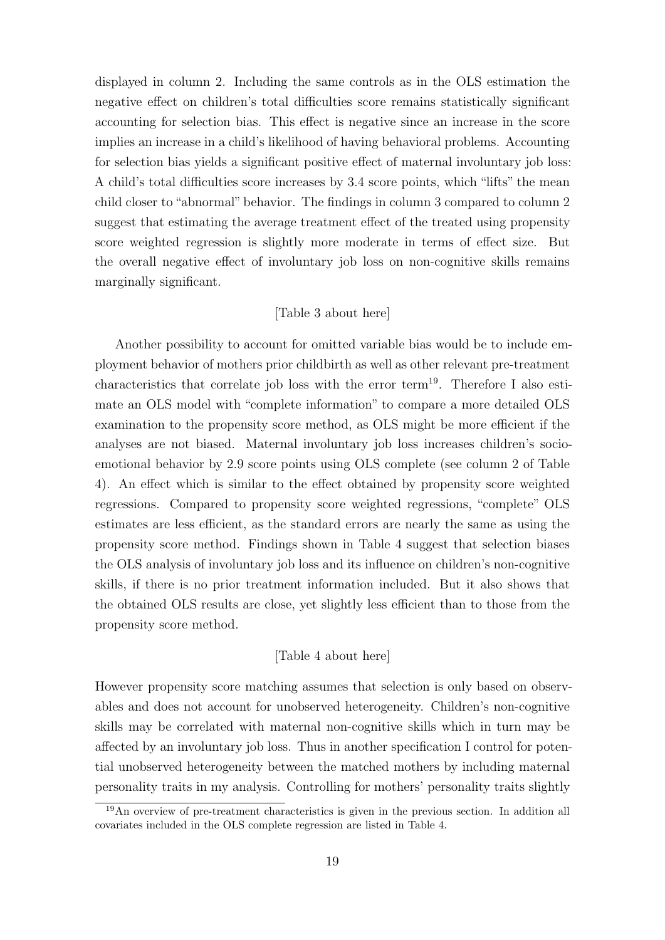displayed in column 2. Including the same controls as in the OLS estimation the negative effect on children's total difficulties score remains statistically significant accounting for selection bias. This effect is negative since an increase in the score implies an increase in a child's likelihood of having behavioral problems. Accounting for selection bias yields a significant positive effect of maternal involuntary job loss: A child's total difficulties score increases by 3.4 score points, which "lifts" the mean child closer to "abnormal" behavior. The findings in column 3 compared to column 2 suggest that estimating the average treatment effect of the treated using propensity score weighted regression is slightly more moderate in terms of effect size. But the overall negative effect of involuntary job loss on non-cognitive skills remains marginally significant.

### [Table 3 about here]

Another possibility to account for omitted variable bias would be to include employment behavior of mothers prior childbirth as well as other relevant pre-treatment characteristics that correlate job loss with the error term<sup>19</sup>. Therefore I also estimate an OLS model with "complete information" to compare a more detailed OLS examination to the propensity score method, as OLS might be more efficient if the analyses are not biased. Maternal involuntary job loss increases children's socioemotional behavior by 2.9 score points using OLS complete (see column 2 of Table 4). An effect which is similar to the effect obtained by propensity score weighted regressions. Compared to propensity score weighted regressions, "complete" OLS estimates are less efficient, as the standard errors are nearly the same as using the propensity score method. Findings shown in Table 4 suggest that selection biases the OLS analysis of involuntary job loss and its influence on children's non-cognitive skills, if there is no prior treatment information included. But it also shows that the obtained OLS results are close, yet slightly less efficient than to those from the propensity score method.

#### [Table 4 about here]

However propensity score matching assumes that selection is only based on observables and does not account for unobserved heterogeneity. Children's non-cognitive skills may be correlated with maternal non-cognitive skills which in turn may be affected by an involuntary job loss. Thus in another specification I control for potential unobserved heterogeneity between the matched mothers by including maternal personality traits in my analysis. Controlling for mothers' personality traits slightly

<sup>&</sup>lt;sup>19</sup>An overview of pre-treatment characteristics is given in the previous section. In addition all covariates included in the OLS complete regression are listed in Table 4.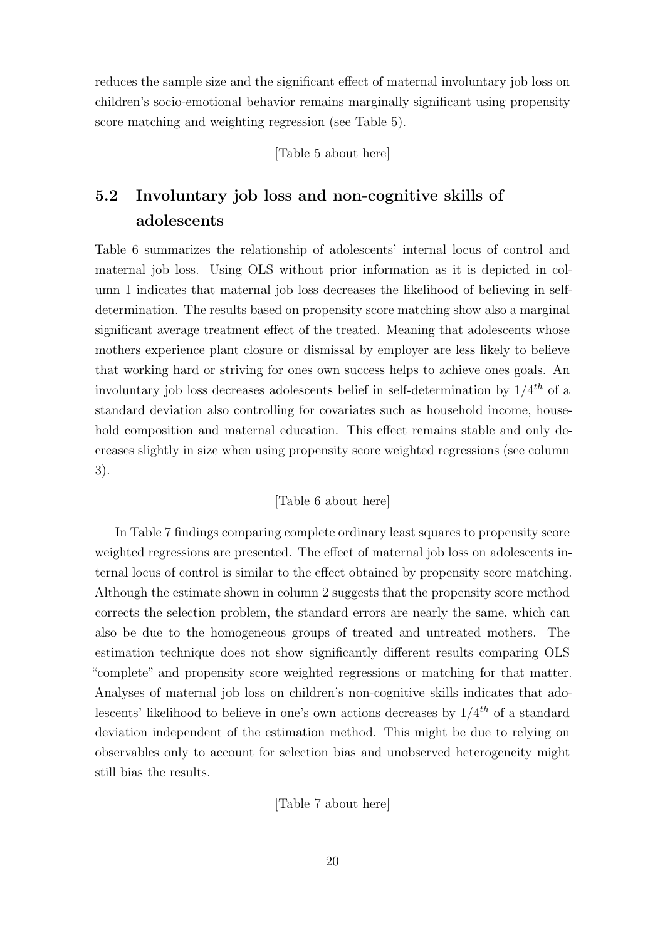reduces the sample size and the significant effect of maternal involuntary job loss on children's socio-emotional behavior remains marginally significant using propensity score matching and weighting regression (see Table 5).

[Table 5 about here]

### 5.2 Involuntary job loss and non-cognitive skills of adolescents

Table 6 summarizes the relationship of adolescents' internal locus of control and maternal job loss. Using OLS without prior information as it is depicted in column 1 indicates that maternal job loss decreases the likelihood of believing in selfdetermination. The results based on propensity score matching show also a marginal significant average treatment effect of the treated. Meaning that adolescents whose mothers experience plant closure or dismissal by employer are less likely to believe that working hard or striving for ones own success helps to achieve ones goals. An involuntary job loss decreases adolescents belief in self-determination by  $1/4^{th}$  of a standard deviation also controlling for covariates such as household income, household composition and maternal education. This effect remains stable and only decreases slightly in size when using propensity score weighted regressions (see column 3).

### [Table 6 about here]

In Table 7 findings comparing complete ordinary least squares to propensity score weighted regressions are presented. The effect of maternal job loss on adolescents internal locus of control is similar to the effect obtained by propensity score matching. Although the estimate shown in column 2 suggests that the propensity score method corrects the selection problem, the standard errors are nearly the same, which can also be due to the homogeneous groups of treated and untreated mothers. The estimation technique does not show significantly different results comparing OLS "complete" and propensity score weighted regressions or matching for that matter. Analyses of maternal job loss on children's non-cognitive skills indicates that adolescents' likelihood to believe in one's own actions decreases by  $1/4^{th}$  of a standard deviation independent of the estimation method. This might be due to relying on observables only to account for selection bias and unobserved heterogeneity might still bias the results.

[Table 7 about here]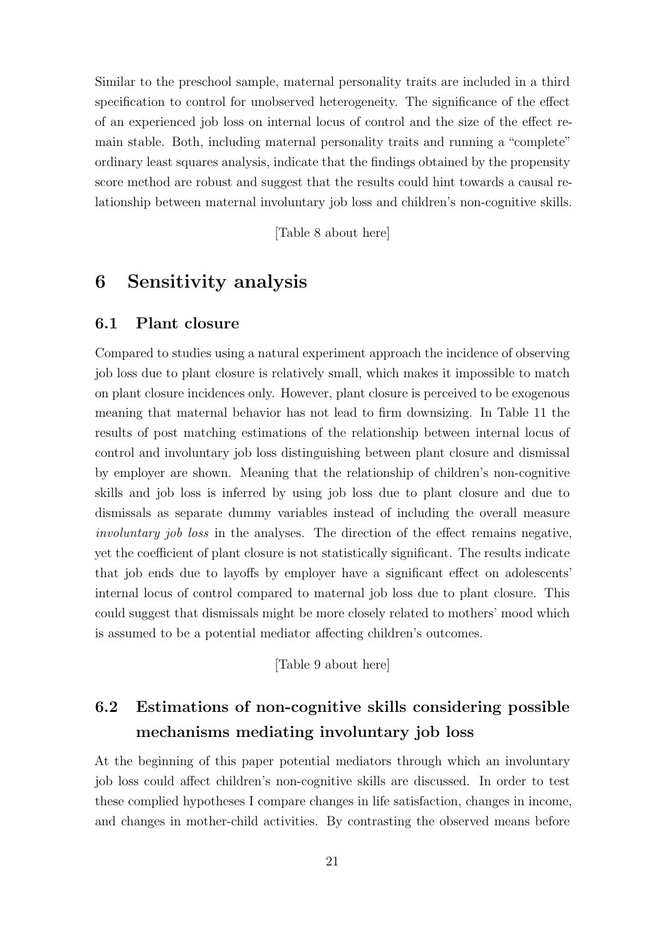Similar to the preschool sample, maternal personality traits are included in a third specification to control for unobserved heterogeneity. The significance of the effect of an experienced job loss on internal locus of control and the size of the effect remain stable. Both, including maternal personality traits and running a "complete" ordinary least squares analysis, indicate that the findings obtained by the propensity score method are robust and suggest that the results could hint towards a causal relationship between maternal involuntary job loss and children's non-cognitive skills.

[Table 8 about here]

### 6 Sensitivity analysis

### 6.1 Plant closure

Compared to studies using a natural experiment approach the incidence of observing job loss due to plant closure is relatively small, which makes it impossible to match on plant closure incidences only. However, plant closure is perceived to be exogenous meaning that maternal behavior has not lead to firm downsizing. In Table 11 the results of post matching estimations of the relationship between internal locus of control and involuntary job loss distinguishing between plant closure and dismissal by employer are shown. Meaning that the relationship of children's non-cognitive skills and job loss is inferred by using job loss due to plant closure and due to dismissals as separate dummy variables instead of including the overall measure involuntary job loss in the analyses. The direction of the effect remains negative, yet the coefficient of plant closure is not statistically significant. The results indicate that job ends due to layoffs by employer have a significant effect on adolescents' internal locus of control compared to maternal job loss due to plant closure. This could suggest that dismissals might be more closely related to mothers' mood which is assumed to be a potential mediator affecting children's outcomes.

[Table 9 about here]

### 6.2 Estimations of non-cognitive skills considering possible mechanisms mediating involuntary job loss

At the beginning of this paper potential mediators through which an involuntary job loss could affect children's non-cognitive skills are discussed. In order to test these complied hypotheses I compare changes in life satisfaction, changes in income, and changes in mother-child activities. By contrasting the observed means before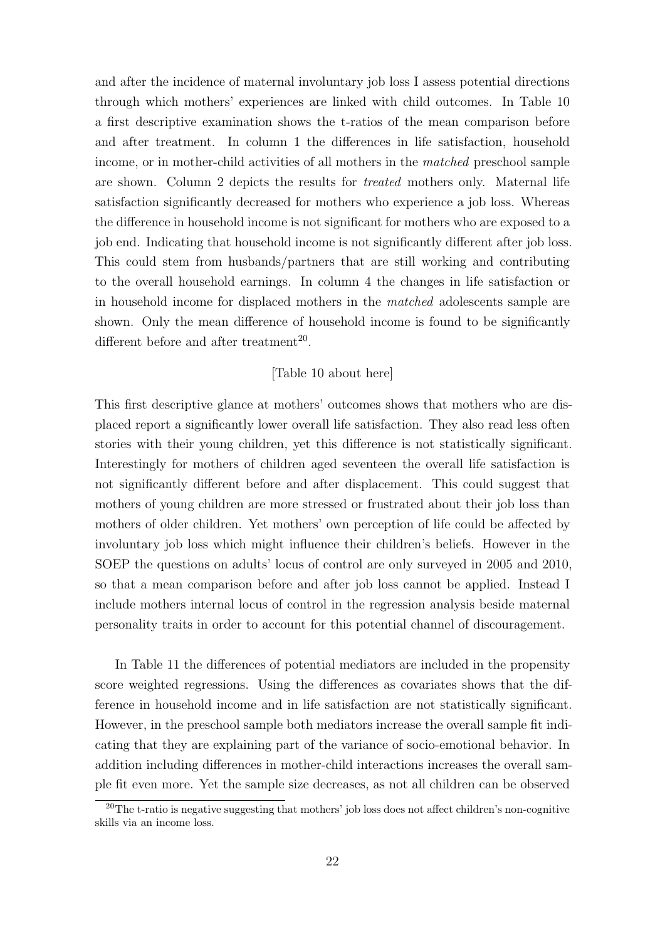and after the incidence of maternal involuntary job loss I assess potential directions through which mothers' experiences are linked with child outcomes. In Table 10 a first descriptive examination shows the t-ratios of the mean comparison before and after treatment. In column 1 the differences in life satisfaction, household income, or in mother-child activities of all mothers in the matched preschool sample are shown. Column 2 depicts the results for treated mothers only. Maternal life satisfaction significantly decreased for mothers who experience a job loss. Whereas the difference in household income is not significant for mothers who are exposed to a job end. Indicating that household income is not significantly different after job loss. This could stem from husbands/partners that are still working and contributing to the overall household earnings. In column 4 the changes in life satisfaction or in household income for displaced mothers in the matched adolescents sample are shown. Only the mean difference of household income is found to be significantly different before and after treatment<sup>20</sup>.

### [Table 10 about here]

This first descriptive glance at mothers' outcomes shows that mothers who are displaced report a significantly lower overall life satisfaction. They also read less often stories with their young children, yet this difference is not statistically significant. Interestingly for mothers of children aged seventeen the overall life satisfaction is not significantly different before and after displacement. This could suggest that mothers of young children are more stressed or frustrated about their job loss than mothers of older children. Yet mothers' own perception of life could be affected by involuntary job loss which might influence their children's beliefs. However in the SOEP the questions on adults' locus of control are only surveyed in 2005 and 2010, so that a mean comparison before and after job loss cannot be applied. Instead I include mothers internal locus of control in the regression analysis beside maternal personality traits in order to account for this potential channel of discouragement.

In Table 11 the differences of potential mediators are included in the propensity score weighted regressions. Using the differences as covariates shows that the difference in household income and in life satisfaction are not statistically significant. However, in the preschool sample both mediators increase the overall sample fit indicating that they are explaining part of the variance of socio-emotional behavior. In addition including differences in mother-child interactions increases the overall sample fit even more. Yet the sample size decreases, as not all children can be observed

 $20$ The t-ratio is negative suggesting that mothers' job loss does not affect children's non-cognitive skills via an income loss.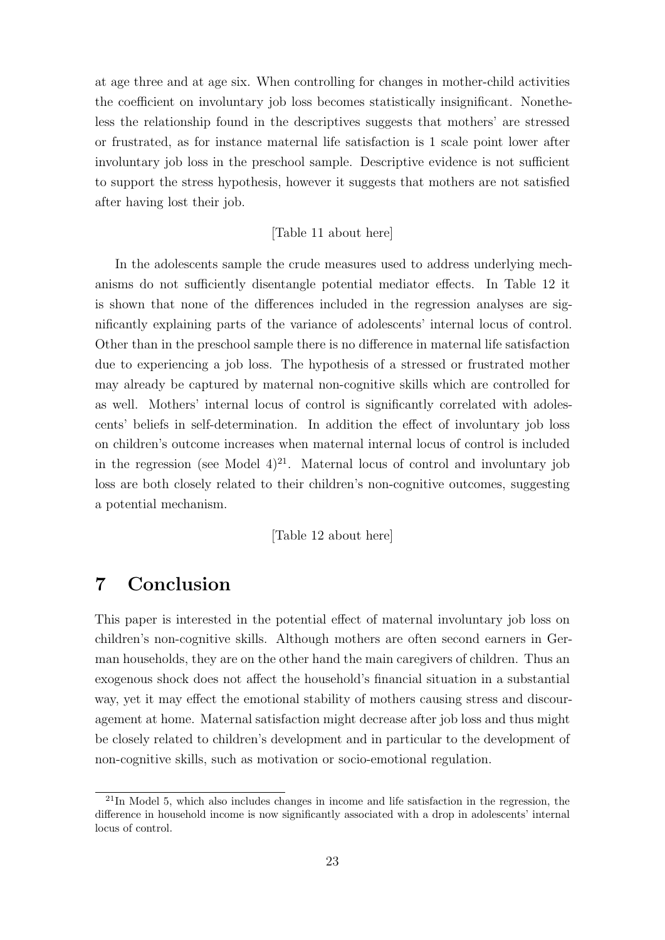at age three and at age six. When controlling for changes in mother-child activities the coefficient on involuntary job loss becomes statistically insignificant. Nonetheless the relationship found in the descriptives suggests that mothers' are stressed or frustrated, as for instance maternal life satisfaction is 1 scale point lower after involuntary job loss in the preschool sample. Descriptive evidence is not sufficient to support the stress hypothesis, however it suggests that mothers are not satisfied after having lost their job.

#### [Table 11 about here]

In the adolescents sample the crude measures used to address underlying mechanisms do not sufficiently disentangle potential mediator effects. In Table 12 it is shown that none of the differences included in the regression analyses are significantly explaining parts of the variance of adolescents' internal locus of control. Other than in the preschool sample there is no difference in maternal life satisfaction due to experiencing a job loss. The hypothesis of a stressed or frustrated mother may already be captured by maternal non-cognitive skills which are controlled for as well. Mothers' internal locus of control is significantly correlated with adolescents' beliefs in self-determination. In addition the effect of involuntary job loss on children's outcome increases when maternal internal locus of control is included in the regression (see Model  $4^{21}$ . Maternal locus of control and involuntary job loss are both closely related to their children's non-cognitive outcomes, suggesting a potential mechanism.

#### [Table 12 about here]

### 7 Conclusion

This paper is interested in the potential effect of maternal involuntary job loss on children's non-cognitive skills. Although mothers are often second earners in German households, they are on the other hand the main caregivers of children. Thus an exogenous shock does not affect the household's financial situation in a substantial way, yet it may effect the emotional stability of mothers causing stress and discouragement at home. Maternal satisfaction might decrease after job loss and thus might be closely related to children's development and in particular to the development of non-cognitive skills, such as motivation or socio-emotional regulation.

 $21$ In Model 5, which also includes changes in income and life satisfaction in the regression, the difference in household income is now significantly associated with a drop in adolescents' internal locus of control.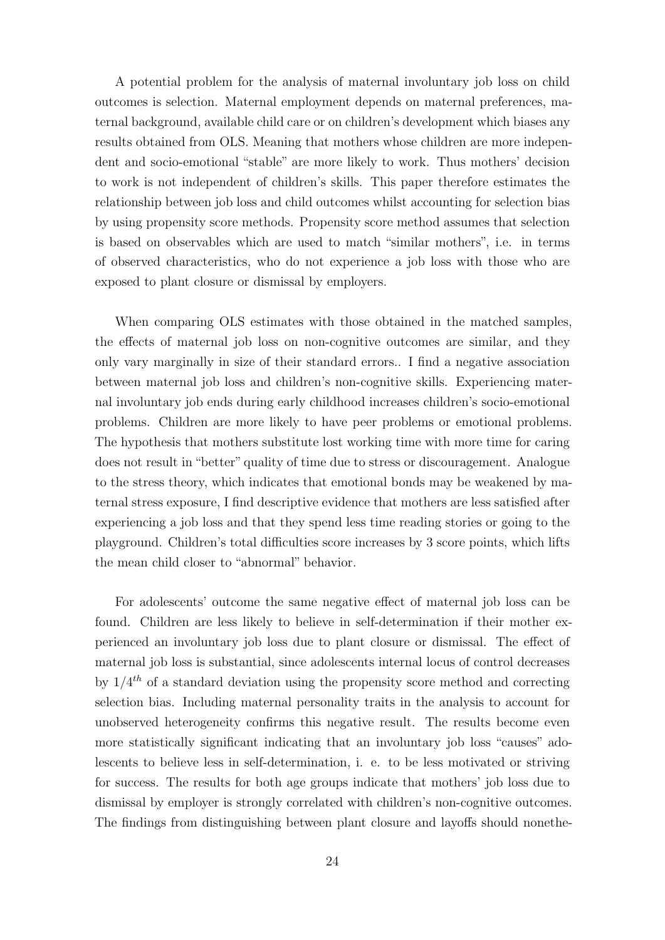A potential problem for the analysis of maternal involuntary job loss on child outcomes is selection. Maternal employment depends on maternal preferences, maternal background, available child care or on children's development which biases any results obtained from OLS. Meaning that mothers whose children are more independent and socio-emotional "stable" are more likely to work. Thus mothers' decision to work is not independent of children's skills. This paper therefore estimates the relationship between job loss and child outcomes whilst accounting for selection bias by using propensity score methods. Propensity score method assumes that selection is based on observables which are used to match "similar mothers", i.e. in terms of observed characteristics, who do not experience a job loss with those who are exposed to plant closure or dismissal by employers.

When comparing OLS estimates with those obtained in the matched samples, the effects of maternal job loss on non-cognitive outcomes are similar, and they only vary marginally in size of their standard errors.. I find a negative association between maternal job loss and children's non-cognitive skills. Experiencing maternal involuntary job ends during early childhood increases children's socio-emotional problems. Children are more likely to have peer problems or emotional problems. The hypothesis that mothers substitute lost working time with more time for caring does not result in "better" quality of time due to stress or discouragement. Analogue to the stress theory, which indicates that emotional bonds may be weakened by maternal stress exposure, I find descriptive evidence that mothers are less satisfied after experiencing a job loss and that they spend less time reading stories or going to the playground. Children's total difficulties score increases by 3 score points, which lifts the mean child closer to "abnormal" behavior.

For adolescents' outcome the same negative effect of maternal job loss can be found. Children are less likely to believe in self-determination if their mother experienced an involuntary job loss due to plant closure or dismissal. The effect of maternal job loss is substantial, since adolescents internal locus of control decreases by  $1/4^{th}$  of a standard deviation using the propensity score method and correcting selection bias. Including maternal personality traits in the analysis to account for unobserved heterogeneity confirms this negative result. The results become even more statistically significant indicating that an involuntary job loss "causes" adolescents to believe less in self-determination, i. e. to be less motivated or striving for success. The results for both age groups indicate that mothers' job loss due to dismissal by employer is strongly correlated with children's non-cognitive outcomes. The findings from distinguishing between plant closure and layoffs should nonethe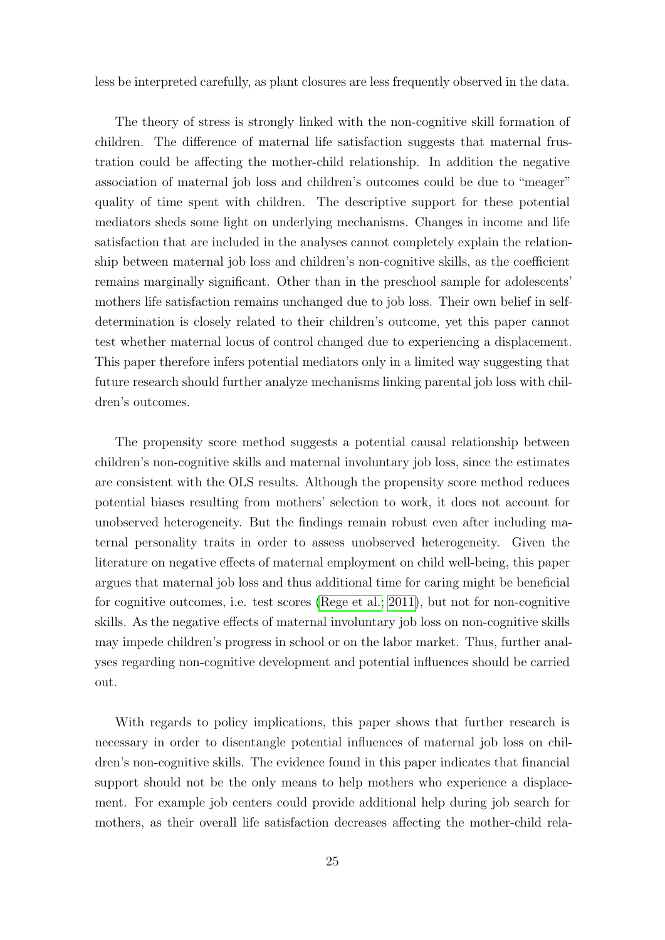less be interpreted carefully, as plant closures are less frequently observed in the data.

The theory of stress is strongly linked with the non-cognitive skill formation of children. The difference of maternal life satisfaction suggests that maternal frustration could be affecting the mother-child relationship. In addition the negative association of maternal job loss and children's outcomes could be due to "meager" quality of time spent with children. The descriptive support for these potential mediators sheds some light on underlying mechanisms. Changes in income and life satisfaction that are included in the analyses cannot completely explain the relationship between maternal job loss and children's non-cognitive skills, as the coefficient remains marginally significant. Other than in the preschool sample for adolescents' mothers life satisfaction remains unchanged due to job loss. Their own belief in selfdetermination is closely related to their children's outcome, yet this paper cannot test whether maternal locus of control changed due to experiencing a displacement. This paper therefore infers potential mediators only in a limited way suggesting that future research should further analyze mechanisms linking parental job loss with children's outcomes.

The propensity score method suggests a potential causal relationship between children's non-cognitive skills and maternal involuntary job loss, since the estimates are consistent with the OLS results. Although the propensity score method reduces potential biases resulting from mothers' selection to work, it does not account for unobserved heterogeneity. But the findings remain robust even after including maternal personality traits in order to assess unobserved heterogeneity. Given the literature on negative effects of maternal employment on child well-being, this paper argues that maternal job loss and thus additional time for caring might be beneficial for cognitive outcomes, i.e. test scores [\(Rege et al.; 2011\)](#page-29-2), but not for non-cognitive skills. As the negative effects of maternal involuntary job loss on non-cognitive skills may impede children's progress in school or on the labor market. Thus, further analyses regarding non-cognitive development and potential influences should be carried out.

With regards to policy implications, this paper shows that further research is necessary in order to disentangle potential influences of maternal job loss on children's non-cognitive skills. The evidence found in this paper indicates that financial support should not be the only means to help mothers who experience a displacement. For example job centers could provide additional help during job search for mothers, as their overall life satisfaction decreases affecting the mother-child rela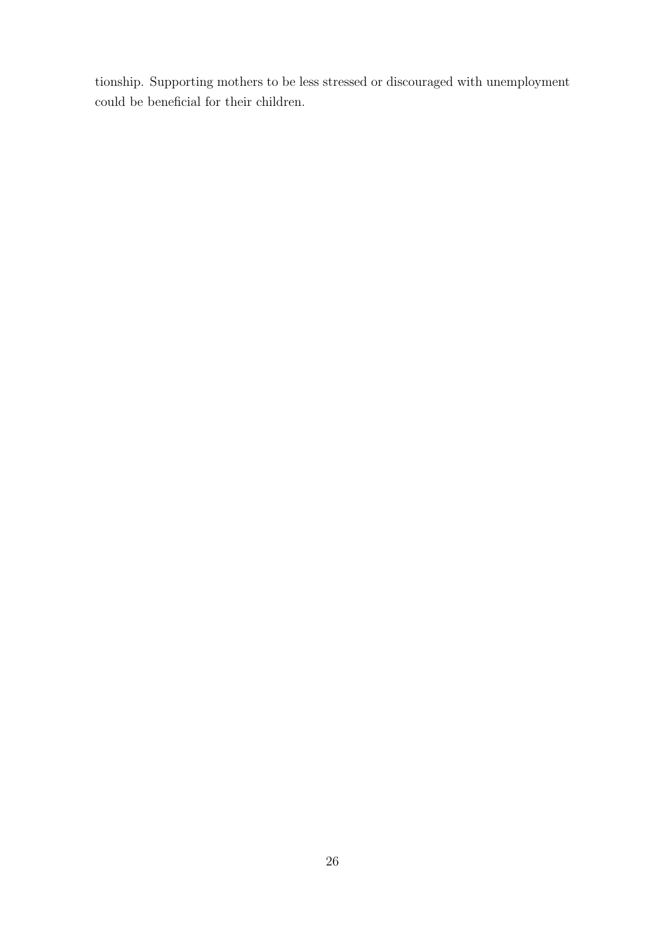tionship. Supporting mothers to be less stressed or discouraged with unemployment could be beneficial for their children.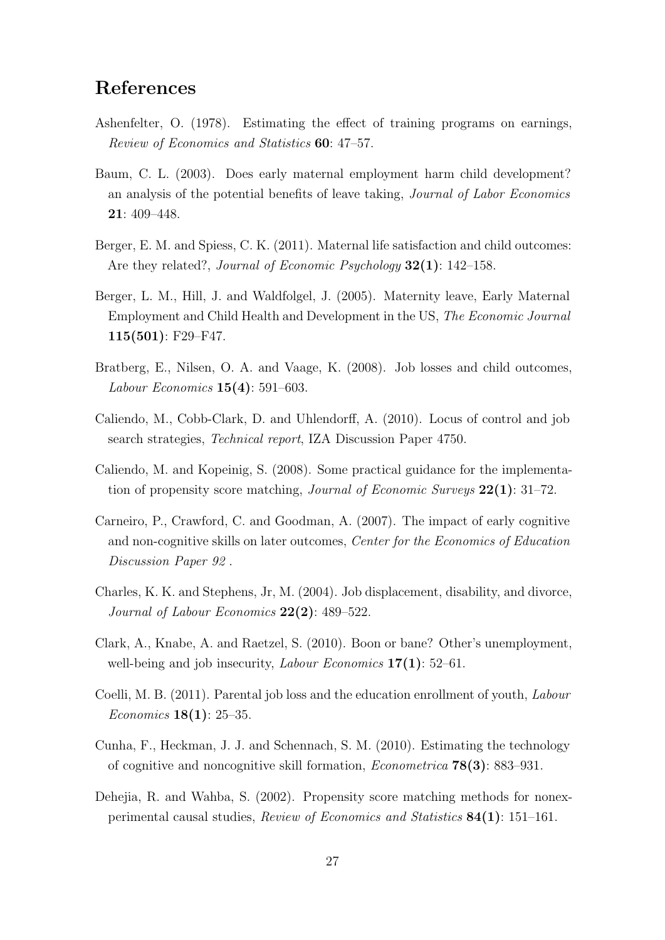### References

- <span id="page-27-10"></span>Ashenfelter, O. (1978). Estimating the effect of training programs on earnings, Review of Economics and Statistics 60: 47–57.
- <span id="page-27-3"></span>Baum, C. L. (2003). Does early maternal employment harm child development? an analysis of the potential benefits of leave taking, Journal of Labor Economics 21: 409–448.
- <span id="page-27-6"></span>Berger, E. M. and Spiess, C. K. (2011). Maternal life satisfaction and child outcomes: Are they related?, *Journal of Economic Psychology* **32(1)**: 142–158.
- <span id="page-27-5"></span>Berger, L. M., Hill, J. and Waldfolgel, J. (2005). Maternity leave, Early Maternal Employment and Child Health and Development in the US, The Economic Journal 115(501): F29–F47.
- <span id="page-27-4"></span>Bratberg, E., Nilsen, O. A. and Vaage, K. (2008). Job losses and child outcomes, Labour Economics 15(4): 591–603.
- <span id="page-27-7"></span>Caliendo, M., Cobb-Clark, D. and Uhlendorff, A. (2010). Locus of control and job search strategies, Technical report, IZA Discussion Paper 4750.
- <span id="page-27-12"></span>Caliendo, M. and Kopeinig, S. (2008). Some practical guidance for the implementation of propensity score matching, *Journal of Economic Surveys*  $22(1)$ : 31–72.
- <span id="page-27-1"></span>Carneiro, P., Crawford, C. and Goodman, A. (2007). The impact of early cognitive and non-cognitive skills on later outcomes, Center for the Economics of Education Discussion Paper 92 .
- <span id="page-27-0"></span>Charles, K. K. and Stephens, Jr, M. (2004). Job displacement, disability, and divorce, Journal of Labour Economics  $22(2)$ : 489–522.
- <span id="page-27-8"></span>Clark, A., Knabe, A. and Raetzel, S. (2010). Boon or bane? Other's unemployment, well-being and job insecurity, *Labour Economics*  $17(1)$ : 52–61.
- <span id="page-27-9"></span>Coelli, M. B. (2011). Parental job loss and the education enrollment of youth, Labour Economics 18(1): 25–35.
- <span id="page-27-2"></span>Cunha, F., Heckman, J. J. and Schennach, S. M. (2010). Estimating the technology of cognitive and noncognitive skill formation, Econometrica 78(3): 883–931.
- <span id="page-27-11"></span>Dehejia, R. and Wahba, S. (2002). Propensity score matching methods for nonexperimental causal studies, Review of Economics and Statistics 84(1): 151–161.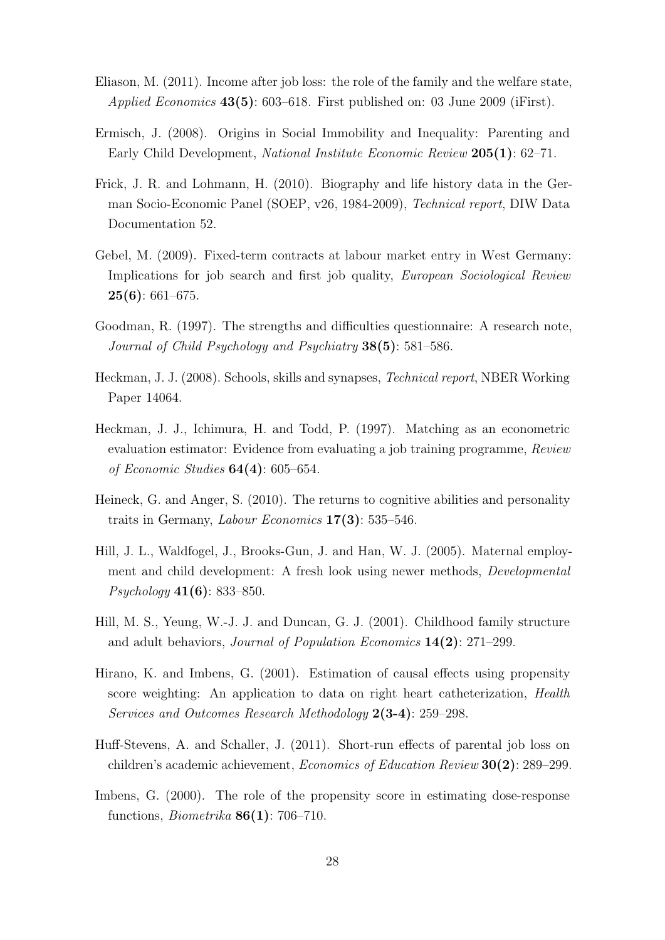- <span id="page-28-4"></span>Eliason, M. (2011). Income after job loss: the role of the family and the welfare state, *Applied Economics*  $43(5)$ : 603–618. First published on: 03 June 2009 (iFirst).
- <span id="page-28-7"></span>Ermisch, J. (2008). Origins in Social Immobility and Inequality: Parenting and Early Child Development, National Institute Economic Review 205(1): 62–71.
- <span id="page-28-6"></span>Frick, J. R. and Lohmann, H. (2010). Biography and life history data in the German Socio-Economic Panel (SOEP, v26, 1984-2009), Technical report, DIW Data Documentation 52.
- <span id="page-28-9"></span>Gebel, M. (2009). Fixed-term contracts at labour market entry in West Germany: Implications for job search and first job quality, *European Sociological Review*  $25(6): 661-675.$
- <span id="page-28-2"></span>Goodman, R. (1997). The strengths and difficulties questionnaire: A research note, Journal of Child Psychology and Psychiatry 38(5): 581–586.
- <span id="page-28-1"></span>Heckman, J. J. (2008). Schools, skills and synapses, Technical report, NBER Working Paper 14064.
- <span id="page-28-8"></span>Heckman, J. J., Ichimura, H. and Todd, P. (1997). Matching as an econometric evaluation estimator: Evidence from evaluating a job training programme, Review of Economic Studies  $64(4)$ : 605–654.
- <span id="page-28-5"></span>Heineck, G. and Anger, S. (2010). The returns to cognitive abilities and personality traits in Germany, Labour Economics 17(3): 535–546.
- <span id="page-28-3"></span>Hill, J. L., Waldfogel, J., Brooks-Gun, J. and Han, W. J. (2005). Maternal employment and child development: A fresh look using newer methods, Developmental Psychology 41(6): 833–850.
- Hill, M. S., Yeung, W.-J. J. and Duncan, G. J. (2001). Childhood family structure and adult behaviors, Journal of Population Economics 14(2): 271–299.
- <span id="page-28-11"></span>Hirano, K. and Imbens, G. (2001). Estimation of causal effects using propensity score weighting: An application to data on right heart catheterization, Health Services and Outcomes Research Methodology 2(3-4): 259–298.
- <span id="page-28-0"></span>Huff-Stevens, A. and Schaller, J. (2011). Short-run effects of parental job loss on children's academic achievement, Economics of Education Review 30(2): 289–299.
- <span id="page-28-10"></span>Imbens, G. (2000). The role of the propensity score in estimating dose-response functions, Biometrika 86(1): 706–710.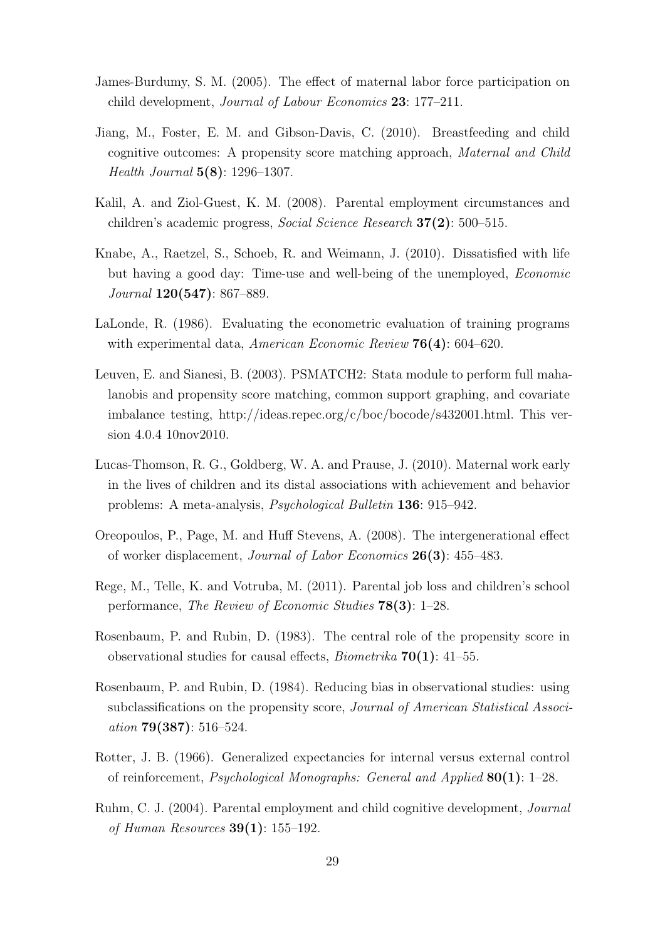- <span id="page-29-4"></span>James-Burdumy, S. M. (2005). The effect of maternal labor force participation on child development, Journal of Labour Economics 23: 177–211.
- <span id="page-29-10"></span>Jiang, M., Foster, E. M. and Gibson-Davis, C. (2010). Breastfeeding and child cognitive outcomes: A propensity score matching approach, Maternal and Child Health Journal 5(8): 1296–1307.
- <span id="page-29-0"></span>Kalil, A. and Ziol-Guest, K. M. (2008). Parental employment circumstances and children's academic progress, *Social Science Research*  $37(2)$ : 500–515.
- <span id="page-29-7"></span>Knabe, A., Raetzel, S., Schoeb, R. and Weimann, J. (2010). Dissatisfied with life but having a good day: Time-use and well-being of the unemployed, Economic  $Journal$   $120(547): 867-889.$
- <span id="page-29-9"></span>LaLonde, R. (1986). Evaluating the econometric evaluation of training programs with experimental data, American Economic Review 76(4): 604–620.
- <span id="page-29-12"></span>Leuven, E. and Sianesi, B. (2003). PSMATCH2: Stata module to perform full mahalanobis and propensity score matching, common support graphing, and covariate imbalance testing, http://ideas.repec.org/c/boc/bocode/s432001.html. This version 4.0.4 10nov2010.
- <span id="page-29-6"></span>Lucas-Thomson, R. G., Goldberg, W. A. and Prause, J. (2010). Maternal work early in the lives of children and its distal associations with achievement and behavior problems: A meta-analysis, Psychological Bulletin 136: 915–942.
- <span id="page-29-1"></span>Oreopoulos, P., Page, M. and Huff Stevens, A. (2008). The intergenerational effect of worker displacement, Journal of Labor Economics 26(3): 455–483.
- <span id="page-29-2"></span>Rege, M., Telle, K. and Votruba, M. (2011). Parental job loss and children's school performance, The Review of Economic Studies 78(3): 1–28.
- <span id="page-29-8"></span>Rosenbaum, P. and Rubin, D. (1983). The central role of the propensity score in observational studies for causal effects, *Biometrika*  $70(1)$ : 41–55.
- <span id="page-29-11"></span>Rosenbaum, P. and Rubin, D. (1984). Reducing bias in observational studies: using subclassifications on the propensity score, Journal of American Statistical Association 79(387): 516–524.
- <span id="page-29-3"></span>Rotter, J. B. (1966). Generalized expectancies for internal versus external control of reinforcement, Psychological Monographs: General and Applied 80(1): 1–28.
- <span id="page-29-5"></span>Ruhm, C. J. (2004). Parental employment and child cognitive development, Journal of Human Resources 39(1): 155–192.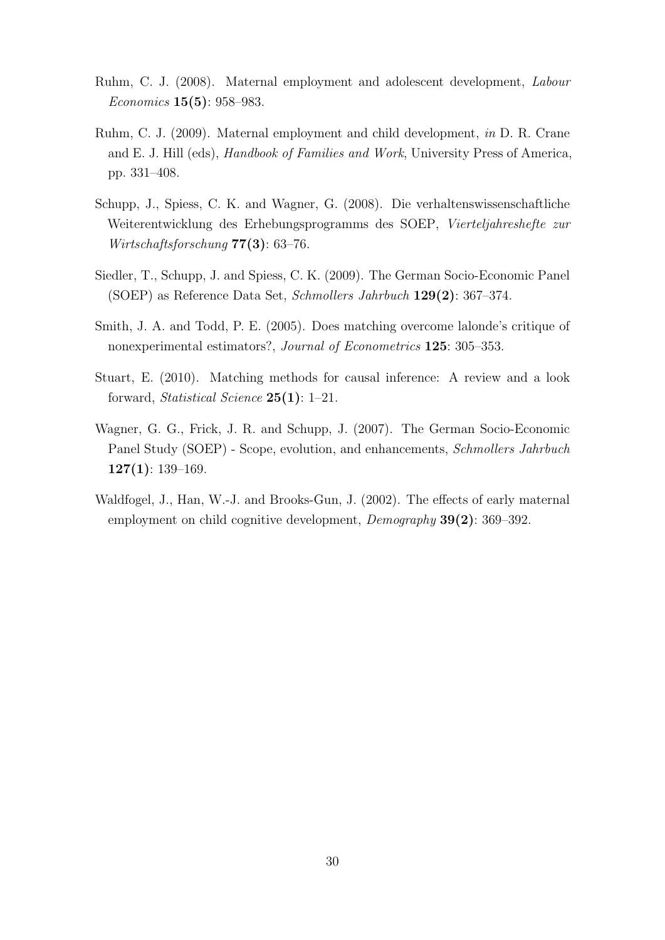- <span id="page-30-1"></span>Ruhm, C. J. (2008). Maternal employment and adolescent development, Labour Economics 15(5): 958–983.
- <span id="page-30-2"></span>Ruhm, C. J. (2009). Maternal employment and child development, in D. R. Crane and E. J. Hill (eds), *Handbook of Families and Work*, University Press of America, pp. 331–408.
- <span id="page-30-4"></span>Schupp, J., Spiess, C. K. and Wagner, G. (2008). Die verhaltenswissenschaftliche Weiterentwicklung des Erhebungsprogramms des SOEP, Vierteljahreshefte zur Wirtschaftsforschung 77(3): 63–76.
- <span id="page-30-5"></span>Siedler, T., Schupp, J. and Spiess, C. K. (2009). The German Socio-Economic Panel (SOEP) as Reference Data Set, Schmollers Jahrbuch 129(2): 367–374.
- <span id="page-30-6"></span>Smith, J. A. and Todd, P. E. (2005). Does matching overcome lalonde's critique of nonexperimental estimators?, Journal of Econometrics 125: 305–353.
- <span id="page-30-7"></span>Stuart, E. (2010). Matching methods for causal inference: A review and a look forward, Statistical Science 25(1): 1–21.
- <span id="page-30-3"></span>Wagner, G. G., Frick, J. R. and Schupp, J. (2007). The German Socio-Economic Panel Study (SOEP) - Scope, evolution, and enhancements, Schmollers Jahrbuch  $127(1): 139-169.$
- <span id="page-30-0"></span>Waldfogel, J., Han, W.-J. and Brooks-Gun, J. (2002). The effects of early maternal employment on child cognitive development, *Demography* **39(2)**: 369–392.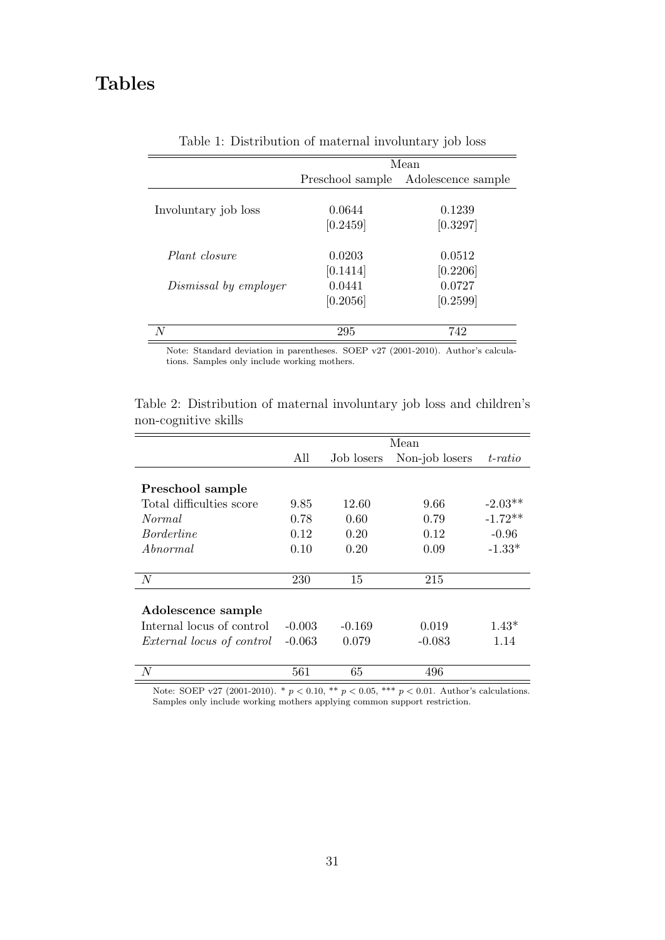## Tables

|                       |                    | Mean               |
|-----------------------|--------------------|--------------------|
|                       | Preschool sample   | Adolescence sample |
| Involuntary job loss  | 0.0644<br>[0.2459] | 0.1239<br>[0.3297] |
| Plant closure         | 0.0203<br>[0.1414] | 0.0512<br>[0.2206] |
| Dismissal by employer | 0.0441<br>[0.2056] | 0.0727<br>[0.2599] |
| N                     | 295                | 742                |

Table 1: Distribution of maternal involuntary job loss

Note: Standard deviation in parentheses. SOEP v27 (2001-2010). Author's calculations. Samples only include working mothers.

|                           |          |            | Mean           |           |
|---------------------------|----------|------------|----------------|-----------|
|                           | All      | Job losers | Non-job losers | t-ratio   |
|                           |          |            |                |           |
| Preschool sample          |          |            |                |           |
| Total difficulties score  | 9.85     | 12.60      | 9.66           | $-2.03**$ |
| Normal                    | 0.78     | 0.60       | 0.79           | $-1.72**$ |
| <i>Borderline</i>         | 0.12     | 0.20       | 0.12           | $-0.96$   |
| <i>Abnormal</i>           | 0.10     | 0.20       | 0.09           | $-1.33*$  |
|                           |          |            |                |           |
| N                         | 230      | 15         | 215            |           |
|                           |          |            |                |           |
| Adolescence sample        |          |            |                |           |
| Internal locus of control | $-0.003$ | $-0.169$   | 0.019          | $1.43*$   |
| External locus of control | $-0.063$ | 0.079      | $-0.083$       | 1.14      |
| N                         | 561      | 65         | 496            |           |

Table 2: Distribution of maternal involuntary job loss and children's non-cognitive skills

Note: SOEP v27 (2001-2010). \*  $p < 0.10$ , \*\*  $p < 0.05$ , \*\*\*  $p < 0.01$ . Author's calculations. Samples only include working mothers applying common support restriction.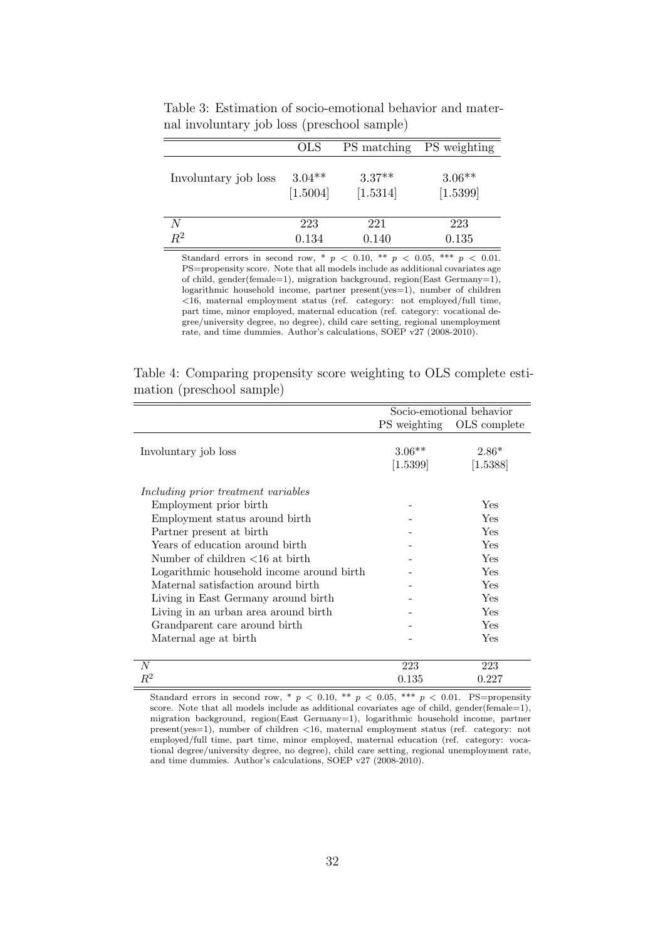|                      | <b>OLS</b>           |                      | PS matching PS weighting |
|----------------------|----------------------|----------------------|--------------------------|
| Involuntary job loss | $3.04**$<br>[1.5004] | $3.37**$<br>[1.5314] | $3.06**$<br>[1.5399]     |
| N                    | 223                  | 221                  | 223                      |
| $R^2$                | 0.134                | 0.140                | 0.135                    |

Table 3: Estimation of socio-emotional behavior and maternal involuntary job loss (preschool sample)

Standard errors in second row, \*  $p$  < 0.10, \*\*  $p$  < 0.05, \*\*\*  $p$  < 0.01. PS=propensity score. Note that all models include as additional covariates age of child, gender(female=1), migration background, region(East Germany=1), logarithmic household income, partner present(yes=1), number of children <16, maternal employment status (ref. category: not employed/full time, part time, minor employed, maternal education (ref. category: vocational degree/university degree, no degree), child care setting, regional unemployment rate, and time dummies. Author's calculations, SOEP v27 (2008-2010).

Table 4: Comparing propensity score weighting to OLS complete estimation (preschool sample)

|                                                          | Socio-emotional behavior |                           |
|----------------------------------------------------------|--------------------------|---------------------------|
|                                                          |                          | PS weighting OLS complete |
|                                                          |                          |                           |
| Involuntary job loss                                     | $3.06**$                 | $2.86*$                   |
|                                                          | $[1.5399]$               | [1.5388]                  |
| Including prior treatment variables                      |                          |                           |
| Employment prior birth                                   |                          | Yes                       |
| Employment status around birth                           |                          | Yes                       |
| Partner present at birth                                 |                          | Yes                       |
| Years of education around birth                          |                          | Yes                       |
| Number of children $\langle 16 \text{ at birth} \rangle$ |                          | Yes                       |
| Logarithmic household income around birth                |                          | Yes                       |
| Maternal satisfaction around birth                       |                          | Yes                       |
| Living in East Germany around birth                      |                          | Yes                       |
| Living in an urban area around birth                     |                          | Yes                       |
| Grandparent care around birth                            |                          | Yes                       |
| Maternal age at birth                                    |                          | Yes                       |
| $\overline{N}$                                           | 223                      | 223                       |
| $\,R^2$                                                  | 0.135                    | 0.227                     |

Standard errors in second row, \*  $p < 0.10$ , \*\*  $p < 0.05$ , \*\*\*  $p < 0.01$ . PS=propensity score. Note that all models include as additional covariates age of child, gender(female=1), migration background, region(East Germany=1), logarithmic household income, partner present(yes=1), number of children <16, maternal employment status (ref. category: not employed/full time, part time, minor employed, maternal education (ref. category: vocational degree/university degree, no degree), child care setting, regional unemployment rate, and time dummies. Author's calculations, SOEP v27 (2008-2010).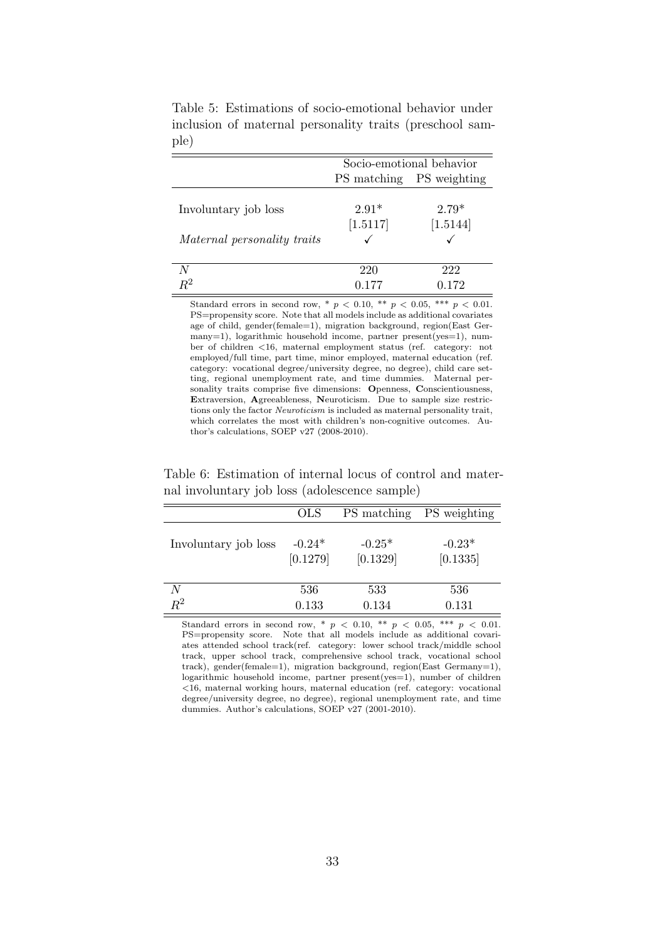|                             | Socio-emotional behavior |          |  |
|-----------------------------|--------------------------|----------|--|
|                             | PS matching PS weighting |          |  |
|                             |                          |          |  |
| Involuntary job loss        | $2.91*$                  | $2.79*$  |  |
|                             | [1.5117]                 | [1.5144] |  |
| Maternal personality traits |                          |          |  |
|                             |                          |          |  |
| N                           | 220                      | 222      |  |
| $\rm R^2$                   | በ 177                    | 0.172    |  |

Table 5: Estimations of socio-emotional behavior under inclusion of maternal personality traits (preschool sample)

Standard errors in second row, \*  $p < 0.10$ , \*\*  $p < 0.05$ , \*\*\*  $p < 0.01$ . PS=propensity score. Note that all models include as additional covariates age of child, gender(female=1), migration background, region(East Germany=1), logarithmic household income, partner present(yes=1), number of children <16, maternal employment status (ref. category: not employed/full time, part time, minor employed, maternal education (ref. category: vocational degree/university degree, no degree), child care setting, regional unemployment rate, and time dummies. Maternal personality traits comprise five dimensions: Openness, Conscientiousness, Extraversion, Agreeableness, Neuroticism. Due to sample size restrictions only the factor Neuroticism is included as maternal personality trait, which correlates the most with children's non-cognitive outcomes. Author's calculations, SOEP v27 (2008-2010).

Table 6: Estimation of internal locus of control and maternal involuntary job loss (adolescence sample)

|                      | <b>OLS</b> | PS matching | PS weighting |
|----------------------|------------|-------------|--------------|
| Involuntary job loss | $-0.24*$   | $-0.25*$    | $-0.23*$     |
|                      | [0.1279]   | [0.1329]    | [0.1335]     |
| N                    | 536        | 533         | 536          |
| $R^2$                | 0.133      | 0.134       | 0.131        |

Standard errors in second row, \*  $p$  < 0.10, \*\*  $p$  < 0.05, \*\*\*  $p$  < 0.01. PS=propensity score. Note that all models include as additional covariates attended school track(ref. category: lower school track/middle school track, upper school track, comprehensive school track, vocational school track), gender(female=1), migration background, region(East Germany=1), logarithmic household income, partner present(yes=1), number of children <16, maternal working hours, maternal education (ref. category: vocational degree/university degree, no degree), regional unemployment rate, and time dummies. Author's calculations, SOEP v27 (2001-2010).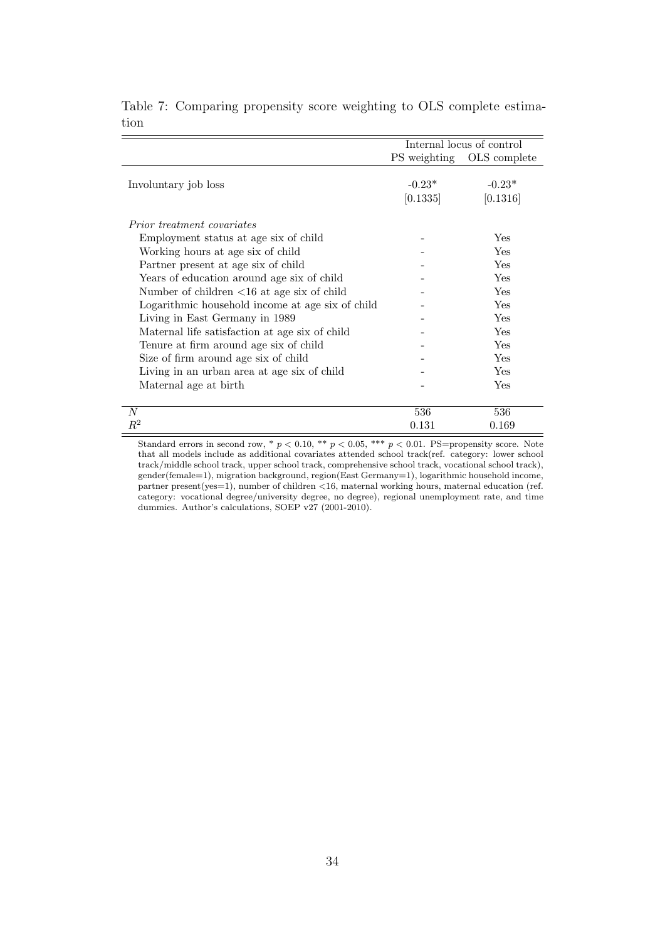|                                                                     | Internal locus of control |              |
|---------------------------------------------------------------------|---------------------------|--------------|
|                                                                     | PS weighting              | OLS complete |
|                                                                     |                           |              |
| Involuntary job loss                                                | $-0.23*$                  | $-0.23*$     |
|                                                                     | [0.1335]                  | [0.1316]     |
|                                                                     |                           |              |
| <i>Prior treatment covariates</i>                                   |                           |              |
| Employment status at age six of child                               |                           | Yes          |
| Working hours at age six of child                                   |                           | Yes          |
| Partner present at age six of child                                 |                           | <b>Yes</b>   |
| Years of education around age six of child                          |                           | Yes          |
| Number of children $\langle 16 \text{ at age six of child} \rangle$ |                           | Yes          |
| Logarithmic household income at age six of child                    |                           | Yes          |
| Living in East Germany in 1989                                      |                           | Yes          |
| Maternal life satisfaction at age six of child                      |                           | <b>Yes</b>   |
| Tenure at firm around age six of child                              |                           | Yes          |
| Size of firm around age six of child                                |                           | Yes          |
| Living in an urban area at age six of child                         |                           | Yes          |
| Maternal age at birth                                               |                           | Yes          |
|                                                                     |                           |              |
| $\boldsymbol{N}$                                                    | 536                       | 536          |
| $\,R^2$                                                             | 0.131                     | 0.169        |

Table 7: Comparing propensity score weighting to OLS complete estimation

Standard errors in second row, \*  $p < 0.10$ , \*\*  $p < 0.05$ , \*\*\*  $p < 0.01$ . PS=propensity score. Note that all models include as additional covariates attended school track(ref. category: lower school track/middle school track, upper school track, comprehensive school track, vocational school track), gender(female=1), migration background, region(East Germany=1), logarithmic household income, partner present(yes=1), number of children <16, maternal working hours, maternal education (ref. category: vocational degree/university degree, no degree), regional unemployment rate, and time dummies. Author's calculations, SOEP v27 (2001-2010).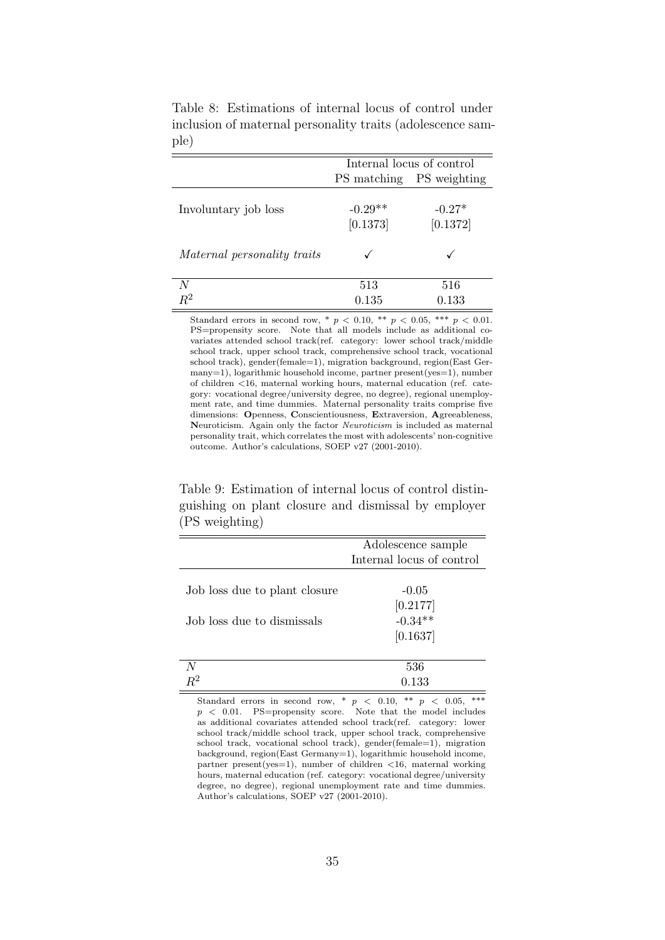|                             | Internal locus of control |                      |  |
|-----------------------------|---------------------------|----------------------|--|
|                             | PS matching               | PS weighting         |  |
| Involuntary job loss        | $-0.29**$<br>[0.1373]     | $-0.27*$<br>[0.1372] |  |
| Maternal personality traits |                           |                      |  |
| N                           | 513                       | 516                  |  |
| $R^2$                       | 0.135                     | $\rm 0.133$          |  |

Table 8: Estimations of internal locus of control under inclusion of maternal personality traits (adolescence sample)

Standard errors in second row, \*  $p$  < 0.10, \*\*  $p$  < 0.05, \*\*\*  $p$  < 0.01. PS=propensity score. Note that all models include as additional covariates attended school track(ref. category: lower school track/middle school track, upper school track, comprehensive school track, vocational school track), gender(female=1), migration background, region(East Germany=1), logarithmic household income, partner present(yes=1), number of children <16, maternal working hours, maternal education (ref. category: vocational degree/university degree, no degree), regional unemployment rate, and time dummies. Maternal personality traits comprise five dimensions: Openness, Conscientiousness, Extraversion, Agreeableness, Neuroticism. Again only the factor Neuroticism is included as maternal personality trait, which correlates the most with adolescents' non-cognitive outcome. Author's calculations, SOEP v27 (2001-2010).

Table 9: Estimation of internal locus of control distinguishing on plant closure and dismissal by employer (PS weighting)

|                               | Adolescence sample        |
|-------------------------------|---------------------------|
|                               | Internal locus of control |
|                               |                           |
| Job loss due to plant closure | $-0.05$                   |
|                               | $[0.2177]$ -0.34**        |
| Job loss due to dismissals    |                           |
|                               | [0.1637]                  |
|                               |                           |
|                               | 536                       |
|                               | 0.133                     |

Standard errors in second row, \*  $p \le 0.10$ , \*\*  $p \le 0.05$ , \*\*\*  $p \leq 0.01$ . PS=propensity score. Note that the model includes as additional covariates attended school track(ref. category: lower school track/middle school track, upper school track, comprehensive school track, vocational school track), gender(female=1), migration background, region(East Germany=1), logarithmic household income, partner present(yes=1), number of children  $\langle 16,$  maternal working hours, maternal education (ref. category: vocational degree/university degree, no degree), regional unemployment rate and time dummies. Author's calculations, SOEP v27 (2001-2010).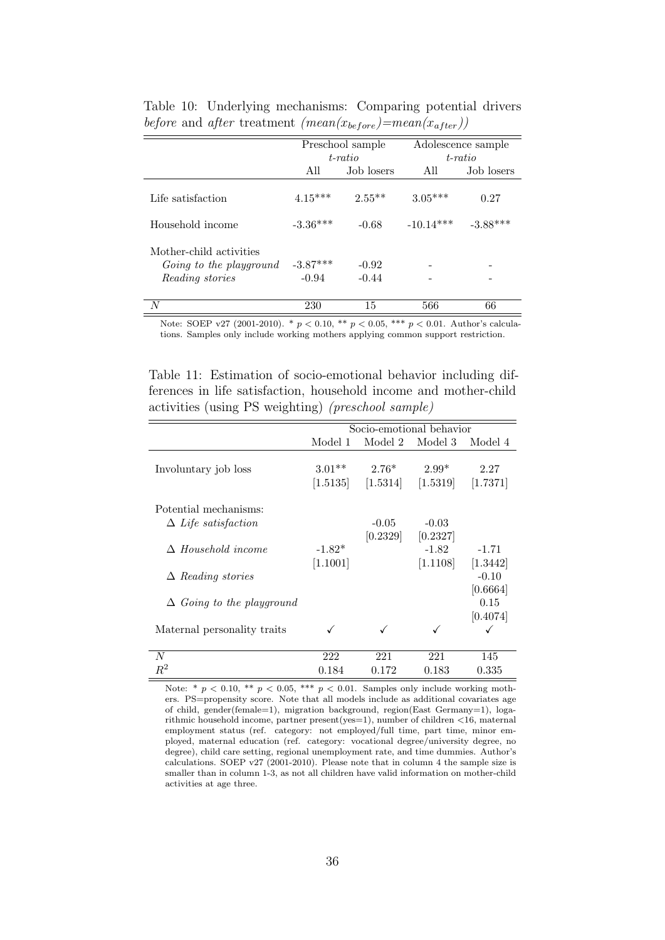|                                                                       | Preschool sample<br>$t$ -ratio |                    | Adolescence sample<br>$t$ -ratio |            |
|-----------------------------------------------------------------------|--------------------------------|--------------------|----------------------------------|------------|
|                                                                       |                                |                    |                                  |            |
|                                                                       | All                            | Job losers         | All                              | Job losers |
| Life satisfaction                                                     | $4.15***$                      | $2.55**$           | $3.05***$                        | 0.27       |
| Household income                                                      | $-3.36***$                     | $-0.68$            | $-10.14***$                      | $-3.88***$ |
| Mother-child activities<br>Going to the playground<br>Reading stories | $-3.87***$<br>$-0.94$          | $-0.92$<br>$-0.44$ |                                  |            |
| N                                                                     | 230                            | 15                 | 566                              | 66         |

Table 10: Underlying mechanisms: Comparing potential drivers before and after treatment  $(\text{mean}(x_{before})=mean(x_{after}))$ 

Note: SOEP v27 (2001-2010). \*  $p < 0.10$ , \*\*  $p < 0.05$ , \*\*\*  $p < 0.01$ . Author's calculations. Samples only include working mothers applying common support restriction.

Table 11: Estimation of socio-emotional behavior including differences in life satisfaction, household income and mother-child activities (using PS weighting) (preschool sample)

|                                  | Socio-emotional behavior |          |          |          |
|----------------------------------|--------------------------|----------|----------|----------|
|                                  | Model 1                  | Model 2  | Model 3  | Model 4  |
|                                  |                          |          |          |          |
| Involuntary job loss             | $3.01**$                 | $2.76*$  | $2.99*$  | 2.27     |
|                                  | [1.5135]                 | [1.5314] | [1.5319] | [1.7371] |
| Potential mechanisms:            |                          |          |          |          |
| $\Delta$ Life satisfaction       |                          | $-0.05$  | $-0.03$  |          |
|                                  |                          | [0.2329] | [0.2327] |          |
| $\Delta$ Household income        | $-1.82*$                 |          | $-1.82$  | $-1.71$  |
|                                  | [1.1001]                 |          | [1.1108] | [1.3442] |
| $\Delta$ Reading stories         |                          |          |          | $-0.10$  |
|                                  |                          |          |          | [0.6664] |
| $\Delta$ Going to the playground |                          |          |          | 0.15     |
|                                  |                          |          |          | [0.4074] |
| Maternal personality traits      |                          | ✓        | ✓        | ✓        |
|                                  |                          |          |          |          |
| N                                | 222                      | 221      | 221      | 145      |
| $\,R^2$                          | 0.184                    | 0.172    | 0.183    | 0.335    |

Note: \*  $p < 0.10$ , \*\*  $p < 0.05$ , \*\*\*  $p < 0.01$ . Samples only include working mothers. PS=propensity score. Note that all models include as additional covariates age of child, gender(female=1), migration background, region(East Germany=1), logarithmic household income, partner present(yes=1), number of children <16, maternal employment status (ref. category: not employed/full time, part time, minor employed, maternal education (ref. category: vocational degree/university degree, no degree), child care setting, regional unemployment rate, and time dummies. Author's calculations. SOEP v27 (2001-2010). Please note that in column 4 the sample size is smaller than in column 1-3, as not all children have valid information on mother-child activities at age three.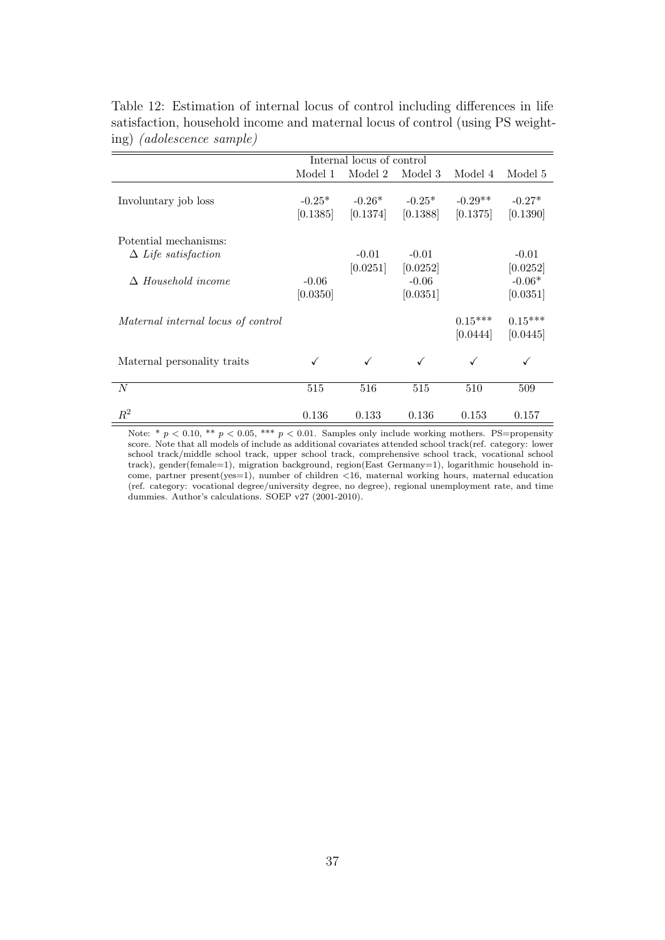|                                    | Internal locus of control |          |          |           |           |
|------------------------------------|---------------------------|----------|----------|-----------|-----------|
|                                    | Model 1                   | Model 2  | Model 3  | Model 4   | Model 5   |
|                                    |                           |          |          |           |           |
| Involuntary job loss               | $-0.25*$                  | $-0.26*$ | $-0.25*$ | $-0.29**$ | $-0.27*$  |
|                                    | [0.1385]                  | [0.1374] | [0.1388] | [0.1375]  | [0.1390]  |
| Potential mechanisms:              |                           |          |          |           |           |
| $\Delta$ Life satisfaction         |                           | $-0.01$  | $-0.01$  |           | $-0.01$   |
|                                    |                           | [0.0251] | [0.0252] |           | [0.0252]  |
| $\Delta$ Household income          | $-0.06$                   |          | $-0.06$  |           | $-0.06*$  |
|                                    | [0.0350]                  |          | [0.0351] |           | [0.0351]  |
| Maternal internal locus of control |                           |          |          | $0.15***$ | $0.15***$ |
|                                    |                           |          |          | [0.0444]  | [0.0445]  |
| Maternal personality traits        | ✓                         | ✓        | ✓        |           | ✓         |
| N                                  | 515                       | 516      | 515      | 510       | 509       |
| $\mathbb{R}^2$                     | 0.136                     | 0.133    | 0.136    | 0.153     | 0.157     |

Table 12: Estimation of internal locus of control including differences in life satisfaction, household income and maternal locus of control (using PS weighting) (adolescence sample)

Note: \*  $p < 0.10$ , \*\*  $p < 0.05$ , \*\*\*  $p < 0.01$ . Samples only include working mothers. PS=propensity score. Note that all models of include as additional covariates attended school track(ref. category: lower school track/middle school track, upper school track, comprehensive school track, vocational school track), gender(female=1), migration background, region(East Germany=1), logarithmic household income, partner present(yes=1), number of children <16, maternal working hours, maternal education (ref. category: vocational degree/university degree, no degree), regional unemployment rate, and time dummies. Author's calculations. SOEP v27 (2001-2010).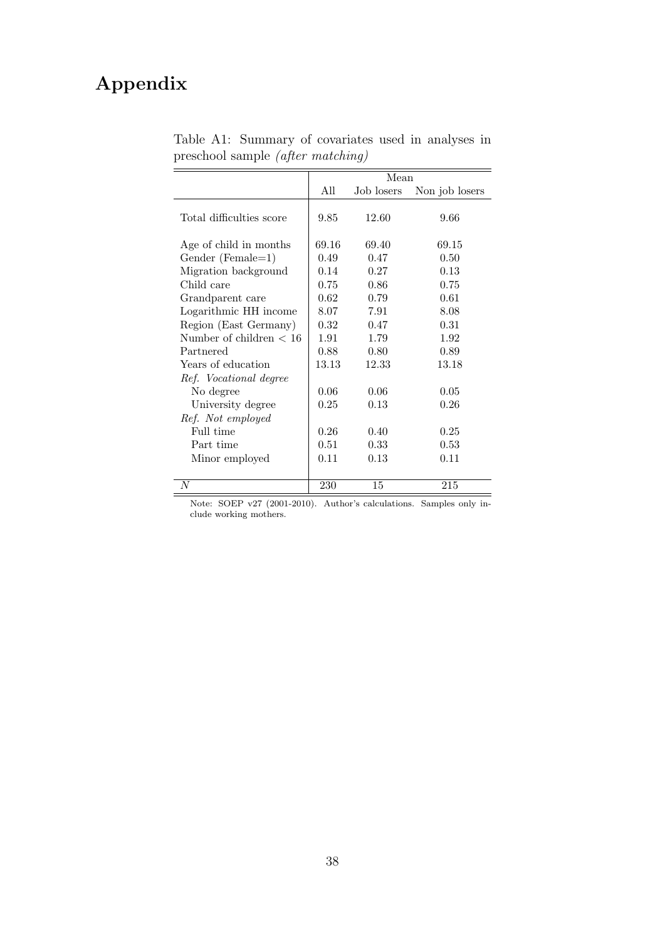# Appendix

|                           | Mean  |            |                |  |  |
|---------------------------|-------|------------|----------------|--|--|
|                           | All   | Job losers | Non job losers |  |  |
| Total difficulties score  | 9.85  | 12.60      | 9.66           |  |  |
| Age of child in months    | 69.16 | 69.40      | 69.15          |  |  |
| $Gender (Female=1)$       | 0.49  | 0.47       | 0.50           |  |  |
| Migration background      | 0.14  | 0.27       | 0.13           |  |  |
| Child care                | 0.75  | 0.86       | 0.75           |  |  |
| Grandparent care          | 0.62  | 0.79       | 0.61           |  |  |
| Logarithmic HH income     | 8.07  | 7.91       | 8.08           |  |  |
| Region (East Germany)     | 0.32  | 0.47       | 0.31           |  |  |
| Number of children $< 16$ | 1.91  | 1.79       | 1.92           |  |  |
| Partnered                 | 0.88  | 0.80       | 0.89           |  |  |
| Years of education        | 13.13 | 12.33      | 13.18          |  |  |
| Ref. Vocational degree    |       |            |                |  |  |
| No degree                 | 0.06  | 0.06       | 0.05           |  |  |
| University degree         | 0.25  | 0.13       | 0.26           |  |  |
| Ref. Not employed         |       |            |                |  |  |
| Full time                 | 0.26  | 0.40       | 0.25           |  |  |
| Part time                 | 0.51  | 0.33       | 0.53           |  |  |
| Minor employed            | 0.11  | 0.13       | 0.11           |  |  |
|                           |       |            |                |  |  |
| N                         | 230   | 15         | 215            |  |  |

Table A1: Summary of covariates used in analyses in preschool sample (after matching)

Note: SOEP v27 (2001-2010). Author's calculations. Samples only include working mothers.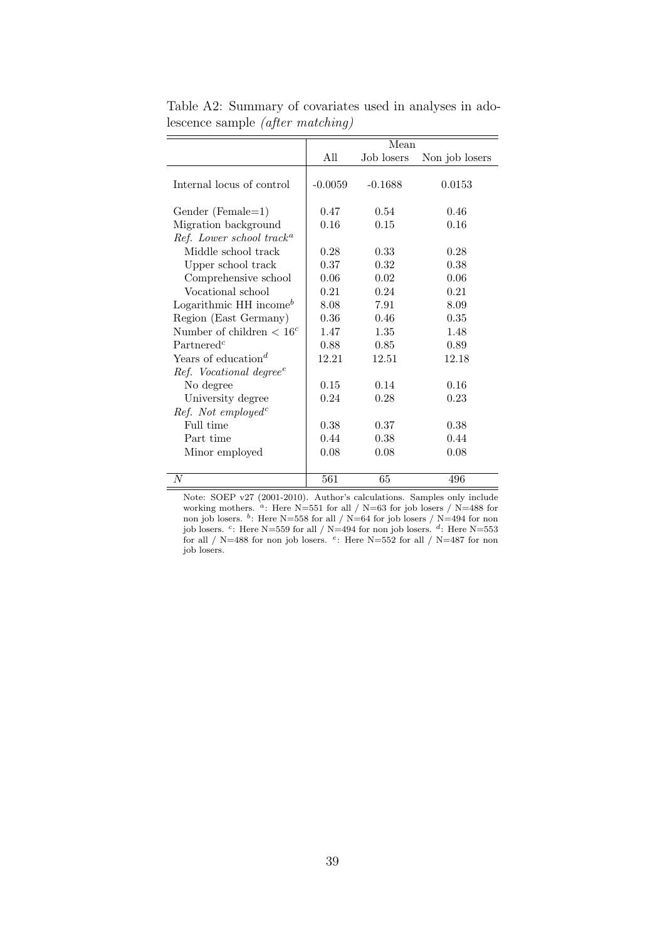|                                      |           | Mean       |                |
|--------------------------------------|-----------|------------|----------------|
|                                      | All       | Job losers | Non job losers |
| Internal locus of control            | $-0.0059$ | $-0.1688$  | 0.0153         |
| Gender (Female=1)                    | 0.47      | 0.54       | 0.46           |
| Migration background                 | 0.16      | 0.15       | 0.16           |
| Ref. Lower school track <sup>a</sup> |           |            |                |
| Middle school track                  | 0.28      | 0.33       | 0.28           |
| Upper school track                   | 0.37      | 0.32       | 0.38           |
| Comprehensive school                 | 0.06      | 0.02       | 0.06           |
| Vocational school                    | 0.21      | 0.24       | 0.21           |
| Logarithmic HH income $^b$           | 8.08      | 7.91       | 8.09           |
| Region (East Germany)                | 0.36      | 0.46       | 0.35           |
| Number of children $< 16c$           | 1.47      | 1.35       | 1.48           |
| Partnered <sup>c</sup>               | 0.88      | 0.85       | 0.89           |
| Years of education <sup>d</sup>      | 12.21     | 12.51      | 12.18          |
| Ref. Vocational degree <sup>e</sup>  |           |            |                |
| No degree                            | 0.15      | 0.14       | 0.16           |
| University degree                    | 0.24      | 0.28       | 0.23           |
| $Ref.$ Not employed <sup>c</sup>     |           |            |                |
| Full time                            | 0.38      | 0.37       | 0.38           |
| Part time                            | 0.44      | 0.38       | 0.44           |
| Minor employed                       | 0.08      | 0.08       | 0.08           |
|                                      |           |            |                |
| N                                    | 561       | 65         | 496            |

Table A2: Summary of covariates used in analyses in adolescence sample (after matching)

Note: SOEP v27 (2001-2010). Author's calculations. Samples only include working mothers.  $a$ : Here N=551 for all / N=63 for job losers / N=488 for non job losers. <sup>b</sup>: Here N=558 for all / N=64 for job losers / N=494 for non job losers. <sup>c</sup>: Here N=559 for all / N=494 for non job losers. <sup>d</sup>: Here N=553 for all / N=488 for non job losers.  $e$ : Here N=552 for all / N=487 for non job losers.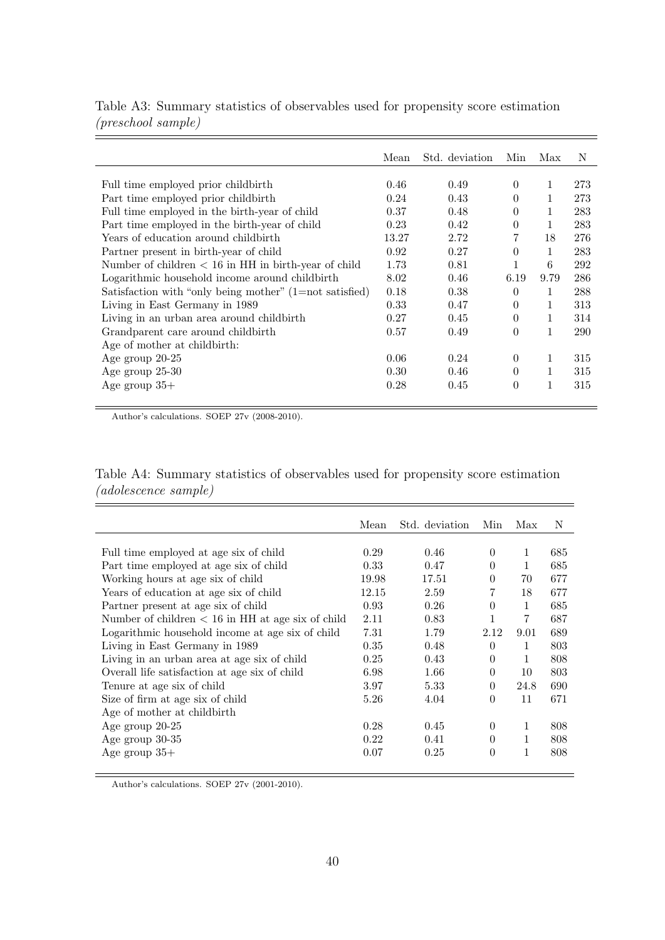|                                                           | Mean  | Std. deviation | Min      | Max          | N   |
|-----------------------------------------------------------|-------|----------------|----------|--------------|-----|
|                                                           |       |                |          |              |     |
| Full time employed prior childbirth                       | 0.46  | 0.49           | $\theta$ | 1            | 273 |
| Part time employed prior childbirth                       | 0.24  | 0.43           | $\theta$ | 1            | 273 |
| Full time employed in the birth-year of child             | 0.37  | 0.48           | $\Omega$ | 1            | 283 |
| Part time employed in the birth-year of child             | 0.23  | 0.42           | $\theta$ | 1            | 283 |
| Years of education around childbirth                      | 13.27 | 2.72           | 7        | 18           | 276 |
| Partner present in birth-year of child                    | 0.92  | 0.27           | $\Omega$ | 1            | 283 |
| Number of children $< 16$ in HH in birth-year of child    | 1.73  | 0.81           |          | 6            | 292 |
| Logarithmic household income around childbirth            | 8.02  | 0.46           | 6.19     | 9.79         | 286 |
| Satisfaction with "only being mother" $(1=not$ satisfied) | 0.18  | 0.38           | $\Omega$ | $\mathbf{1}$ | 288 |
| Living in East Germany in 1989                            | 0.33  | 0.47           | $\Omega$ |              | 313 |
| Living in an urban area around child birth                | 0.27  | 0.45           | $\Omega$ | 1            | 314 |
| Grandparent care around childbirth                        | 0.57  | 0.49           | $\theta$ | 1            | 290 |
| Age of mother at childbirth:                              |       |                |          |              |     |
| Age group $20-25$                                         | 0.06  | 0.24           | $\Omega$ |              | 315 |
| Age group 25-30                                           | 0.30  | 0.46           | $\Omega$ |              | 315 |
| Age group $35+$                                           | 0.28  | 0.45           | $\theta$ | 1            | 315 |
|                                                           |       |                |          |              |     |

Table A3: Summary statistics of observables used for propensity score estimation (preschool sample)

Author's calculations. SOEP 27v (2008-2010).

Table A4: Summary statistics of observables used for propensity score estimation (adolescence sample)

|                                                     | Mean  | Std. deviation | Min          | Max            | N   |
|-----------------------------------------------------|-------|----------------|--------------|----------------|-----|
|                                                     |       |                |              |                |     |
| Full time employed at age six of child              | 0.29  | 0.46           | $\theta$     | 1              | 685 |
| Part time employed at age six of child              | 0.33  | 0.47           | $\theta$     |                | 685 |
| Working hours at age six of child                   | 19.98 | 17.51          | $\theta$     | 70             | 677 |
| Years of education at age six of child              | 12.15 | 2.59           | 7            | 18             | 677 |
| Partner present at age six of child                 | 0.93  | 0.26           | $\theta$     | 1              | 685 |
| Number of children $< 16$ in HH at age six of child | 2.11  | 0.83           | $\mathbf{1}$ | $\overline{7}$ | 687 |
| Logarithmic household income at age six of child    | 7.31  | 1.79           | 2.12         | 9.01           | 689 |
| Living in East Germany in 1989                      | 0.35  | 0.48           | $\Omega$     | 1              | 803 |
| Living in an urban area at age six of child         | 0.25  | 0.43           | $\Omega$     | 1              | 808 |
| Overall life satisfaction at age six of child       | 6.98  | 1.66           | $\theta$     | 10             | 803 |
| Tenure at age six of child                          | 3.97  | 5.33           | $\Omega$     | 24.8           | 690 |
| Size of firm at age six of child                    | 5.26  | 4.04           | $\theta$     | 11             | 671 |
| Age of mother at childbirth                         |       |                |              |                |     |
| Age group $20-25$                                   | 0.28  | 0.45           | $\theta$     | 1              | 808 |
| Age group 30-35                                     | 0.22  | 0.41           | $\Omega$     | 1              | 808 |
| Age group $35+$                                     | 0.07  | 0.25           | $\theta$     | 1              | 808 |
|                                                     |       |                |              |                |     |

Author's calculations. SOEP 27v (2001-2010).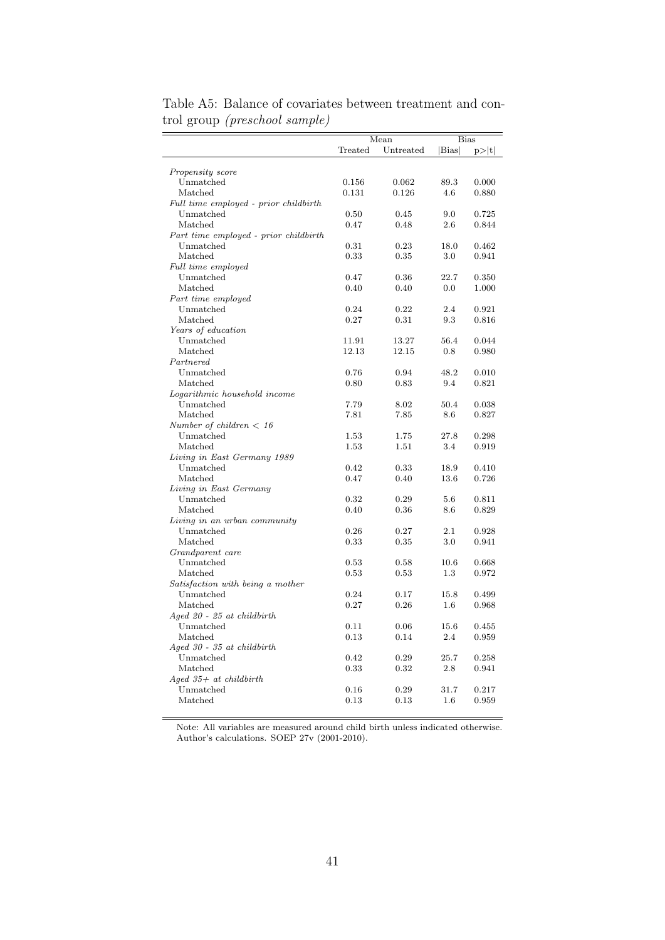|                                       | Mean       |           | <b>Bias</b> |       |  |
|---------------------------------------|------------|-----------|-------------|-------|--|
|                                       | Treated    | Untreated | Bias        | p> t  |  |
|                                       |            |           |             |       |  |
| Propensity score                      |            |           |             |       |  |
| Unmatched                             | 0.156      | 0.062     | 89.3        | 0.000 |  |
| Matched                               | 0.131      | 0.126     | 4.6         | 0.880 |  |
| Full time employed - prior childbirth |            |           |             |       |  |
| Unmatched                             | 0.50       | 0.45      | 9.0         | 0.725 |  |
| Matched                               | 0.47       | 0.48      | 2.6         | 0.844 |  |
| Part time employed - prior childbirth |            |           |             |       |  |
| Unmatched                             | 0.31       | 0.23      | 18.0        | 0.462 |  |
| Matched                               | 0.33       | 0.35      | 3.0         | 0.941 |  |
| Full time employed                    |            |           |             |       |  |
| Unmatched                             | 0.47       | 0.36      | 22.7        | 0.350 |  |
| Matched                               | 0.40       | 0.40      | 0.0         | 1.000 |  |
| Part time employed                    |            |           |             |       |  |
| Unmatched                             | 0.24       | 0.22      | 2.4         | 0.921 |  |
| Matched                               | 0.27       | 0.31      | 9.3         | 0.816 |  |
| Years of education                    |            |           |             |       |  |
| Unmatched                             | 11.91      | 13.27     | 56.4        | 0.044 |  |
| Matched                               | 12.13      | 12.15     | 0.8         | 0.980 |  |
| $\ensuremath{\mathit{Part}nered}$     |            |           |             |       |  |
| Unmatched                             | 0.76       | 0.94      | 48.2        | 0.010 |  |
| Matched                               | 0.80       | 0.83      | 9.4         | 0.821 |  |
| Logarithmic household income          |            |           |             |       |  |
| Unmatched                             | 7.79       | 8.02      | 50.4        | 0.038 |  |
| Matched                               | 7.81       | 7.85      | 8.6         | 0.827 |  |
| Number of children $<$ 16             |            |           |             |       |  |
| Unmatched                             | 1.53       | 1.75      | 27.8        | 0.298 |  |
| Matched                               | 1.53       | 1.51      | 3.4         | 0.919 |  |
| Living in East Germany 1989           |            |           |             |       |  |
| Unmatched                             | 0.42       | 0.33      | 18.9        | 0.410 |  |
| Matched                               | 0.47       | 0.40      | 13.6        | 0.726 |  |
| Living in East Germany                |            |           |             |       |  |
| Unmatched                             | 0.32       | 0.29      | 5.6         | 0.811 |  |
| Matched                               | 0.40       | 0.36      | 8.6         | 0.829 |  |
| Living in an urban community          |            |           |             |       |  |
| Unmatched                             | 0.26       | 0.27      | 2.1         | 0.928 |  |
| Matched                               | $\rm 0.33$ | 0.35      | 3.0         | 0.941 |  |
| Grandparent care                      |            |           |             |       |  |
| Unmatched                             | 0.53       | 0.58      | 10.6        | 0.668 |  |
| Matched                               | 0.53       | 0.53      | 1.3         | 0.972 |  |
| Satisfaction with being a mother      |            |           |             |       |  |
| Unmatched                             | 0.24       | 0.17      | 15.8        | 0.499 |  |
| Matched                               | 0.27       | 0.26      | 1.6         | 0.968 |  |
| $A$ ged 20 - 25 at childbirth         |            |           |             |       |  |
| Unmatched                             | 0.11       | 0.06      | 15.6        | 0.455 |  |
| Matched                               | 0.13       | 0.14      | 2.4         | 0.959 |  |
| $A$ qed 30 - 35 at childbirth         |            |           |             |       |  |
| Unmatched                             | 0.42       | 0.29      | 25.7        | 0.258 |  |
| Matched                               | 0.33       | 0.32      | 2.8         | 0.941 |  |
| $A$ ged 35+ at childbirth             |            |           |             |       |  |
| Unmatched                             | 0.16       | 0.29      | 31.7        | 0.217 |  |
| Matched                               | 0.13       | 0.13      | 1.6         | 0.959 |  |
|                                       |            |           |             |       |  |

Table A5: Balance of covariates between treatment and control group (preschool sample)

Note: All variables are measured around child birth unless indicated otherwise. Author's calculations. SOEP 27v (2001-2010).

ż,